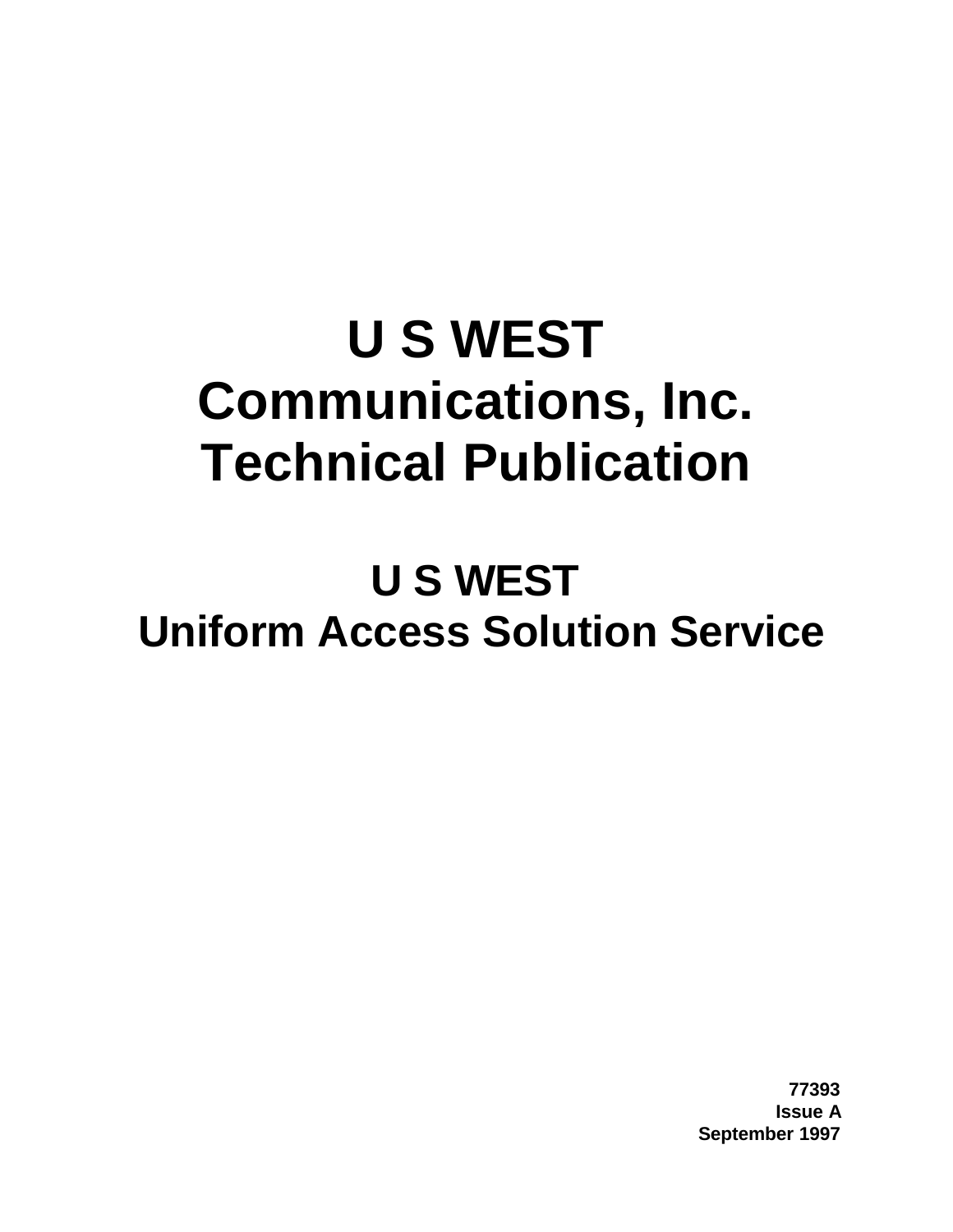# **U S WEST Communications, Inc. Technical Publication**

# **U S WEST Uniform Access Solution Service**

**77393 Issue A September 1997**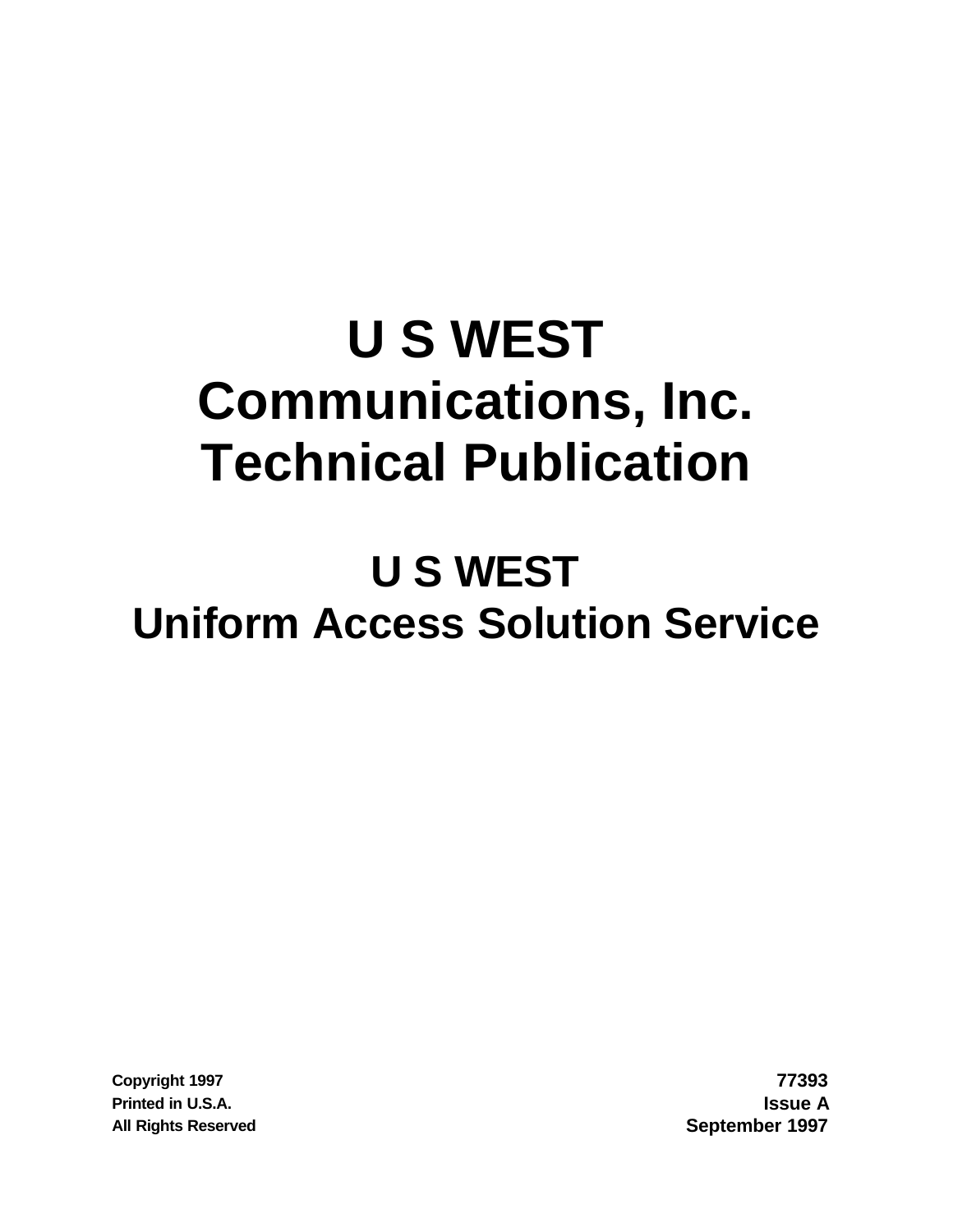# **U S WEST Communications, Inc. Technical Publication**

# **U S WEST Uniform Access Solution Service**

**Copyright 1997 77393 Printed in U.S.A. Issue A All Rights Reserved September 1997**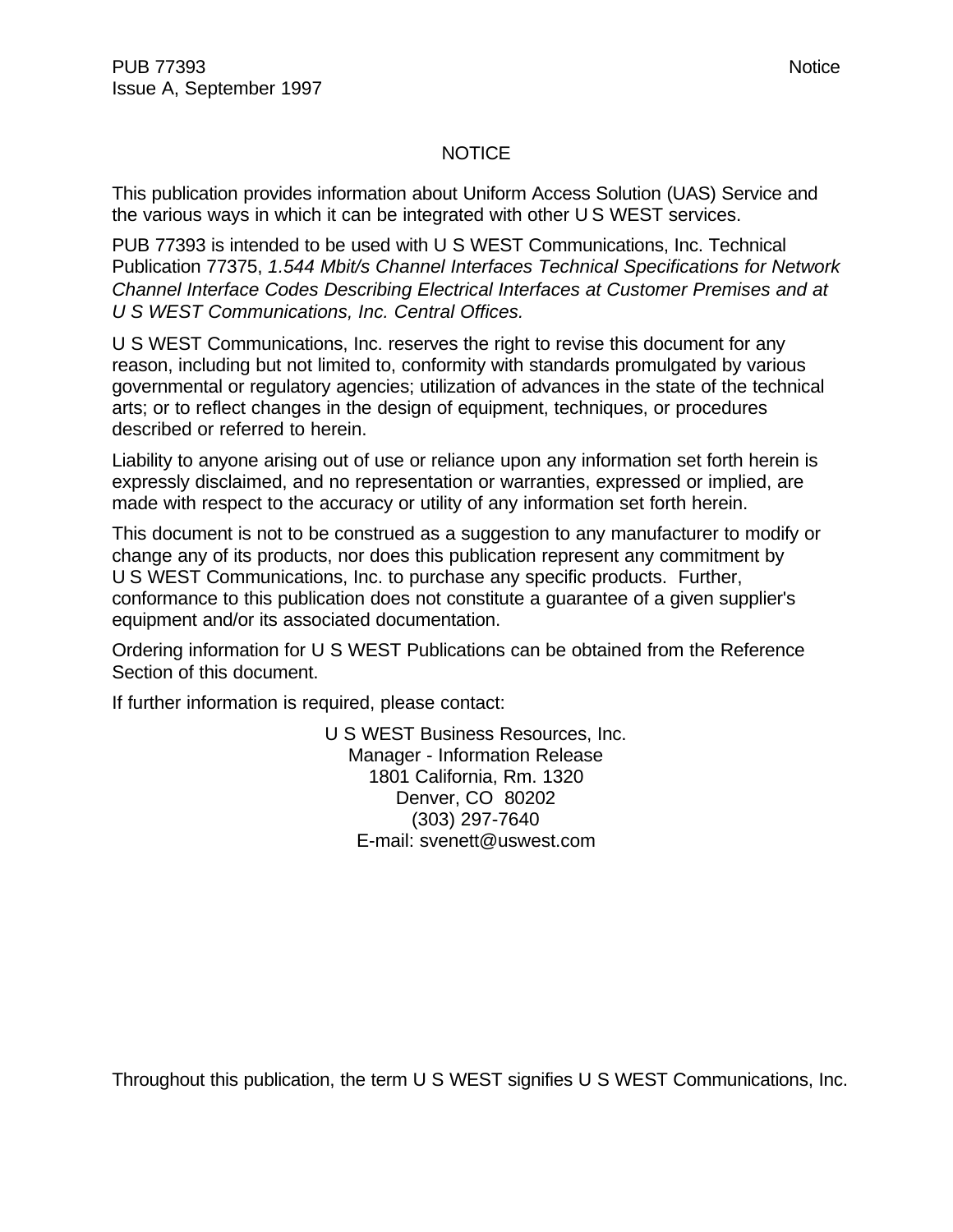#### NOTICE

This publication provides information about Uniform Access Solution (UAS) Service and the various ways in which it can be integrated with other U S WEST services.

PUB 77393 is intended to be used with U S WEST Communications, Inc. Technical Publication 77375, *1.544 Mbit/s Channel Interfaces Technical Specifications for Network Channel Interface Codes Describing Electrical Interfaces at Customer Premises and at U S WEST Communications, Inc. Central Offices.*

U S WEST Communications, Inc. reserves the right to revise this document for any reason, including but not limited to, conformity with standards promulgated by various governmental or regulatory agencies; utilization of advances in the state of the technical arts; or to reflect changes in the design of equipment, techniques, or procedures described or referred to herein.

Liability to anyone arising out of use or reliance upon any information set forth herein is expressly disclaimed, and no representation or warranties, expressed or implied, are made with respect to the accuracy or utility of any information set forth herein.

This document is not to be construed as a suggestion to any manufacturer to modify or change any of its products, nor does this publication represent any commitment by U S WEST Communications, Inc. to purchase any specific products. Further, conformance to this publication does not constitute a guarantee of a given supplier's equipment and/or its associated documentation.

Ordering information for U S WEST Publications can be obtained from the Reference Section of this document.

If further information is required, please contact:

U S WEST Business Resources, Inc. Manager - Information Release 1801 California, Rm. 1320 Denver, CO 80202 (303) 297-7640 E-mail: svenett@uswest.com

Throughout this publication, the term U S WEST signifies U S WEST Communications, Inc.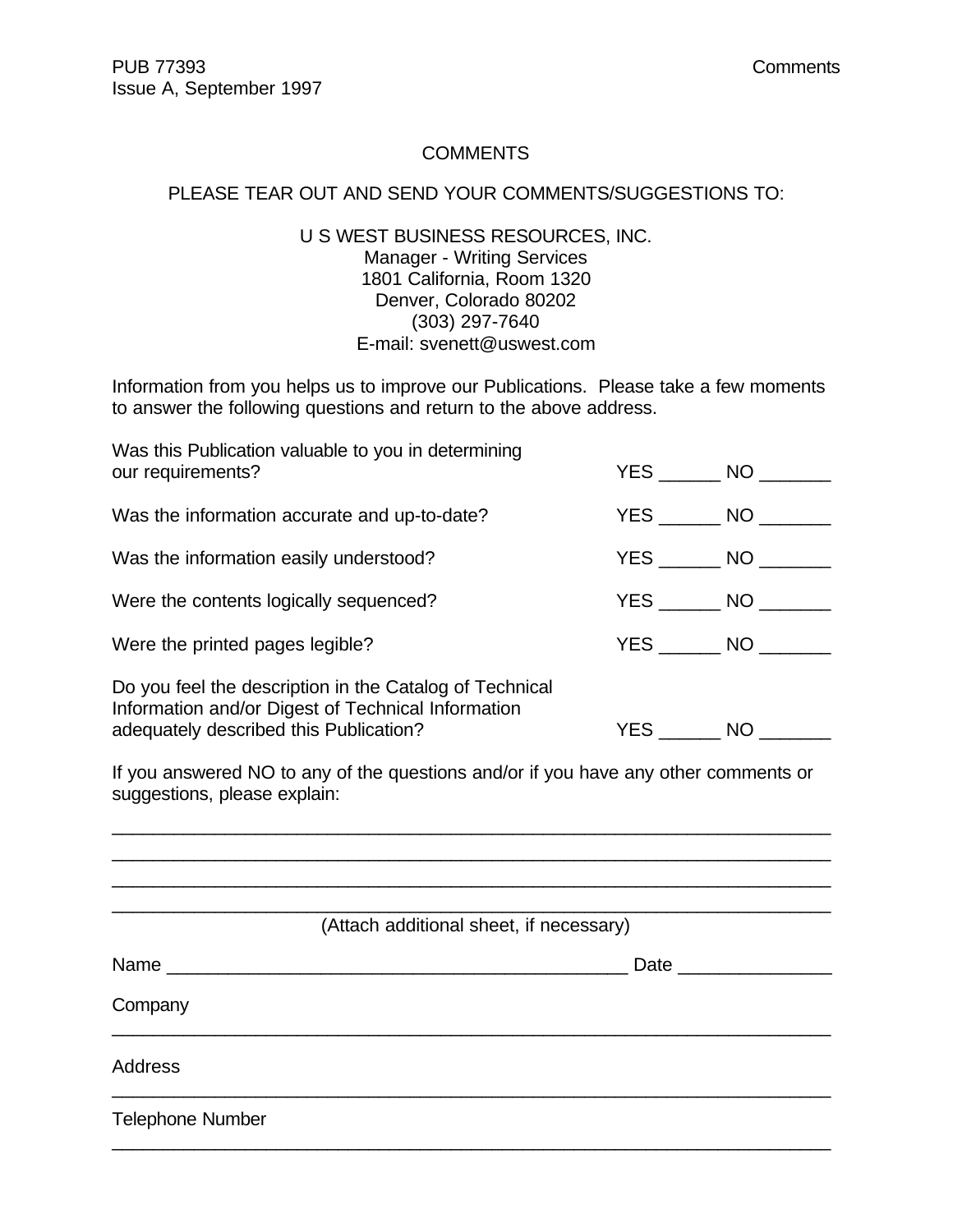#### **COMMENTS**

#### PLEASE TEAR OUT AND SEND YOUR COMMENTS/SUGGESTIONS TO:

U S WEST BUSINESS RESOURCES, INC. Manager - Writing Services 1801 California, Room 1320 Denver, Colorado 80202 (303) 297-7640 E-mail: svenett@uswest.com

Information from you helps us to improve our Publications. Please take a few moments to answer the following questions and return to the above address.

| Was this Publication valuable to you in determining<br>our requirements?                                                                                |            | YES NO        |
|---------------------------------------------------------------------------------------------------------------------------------------------------------|------------|---------------|
| Was the information accurate and up-to-date?                                                                                                            | YES NO     |               |
| Was the information easily understood?                                                                                                                  |            | $YES$ NO $\_$ |
| Were the contents logically sequenced?                                                                                                                  |            | YES NO        |
| Were the printed pages legible?                                                                                                                         |            | YES NO        |
| Do you feel the description in the Catalog of Technical<br>Information and/or Digest of Technical Information<br>adequately described this Publication? | <b>YES</b> | <b>NO</b>     |

If you answered NO to any of the questions and/or if you have any other comments or suggestions, please explain:

| (Attach additional sheet, if necessary) |
|-----------------------------------------|
| Date $\_\_$                             |
|                                         |
|                                         |
|                                         |
|                                         |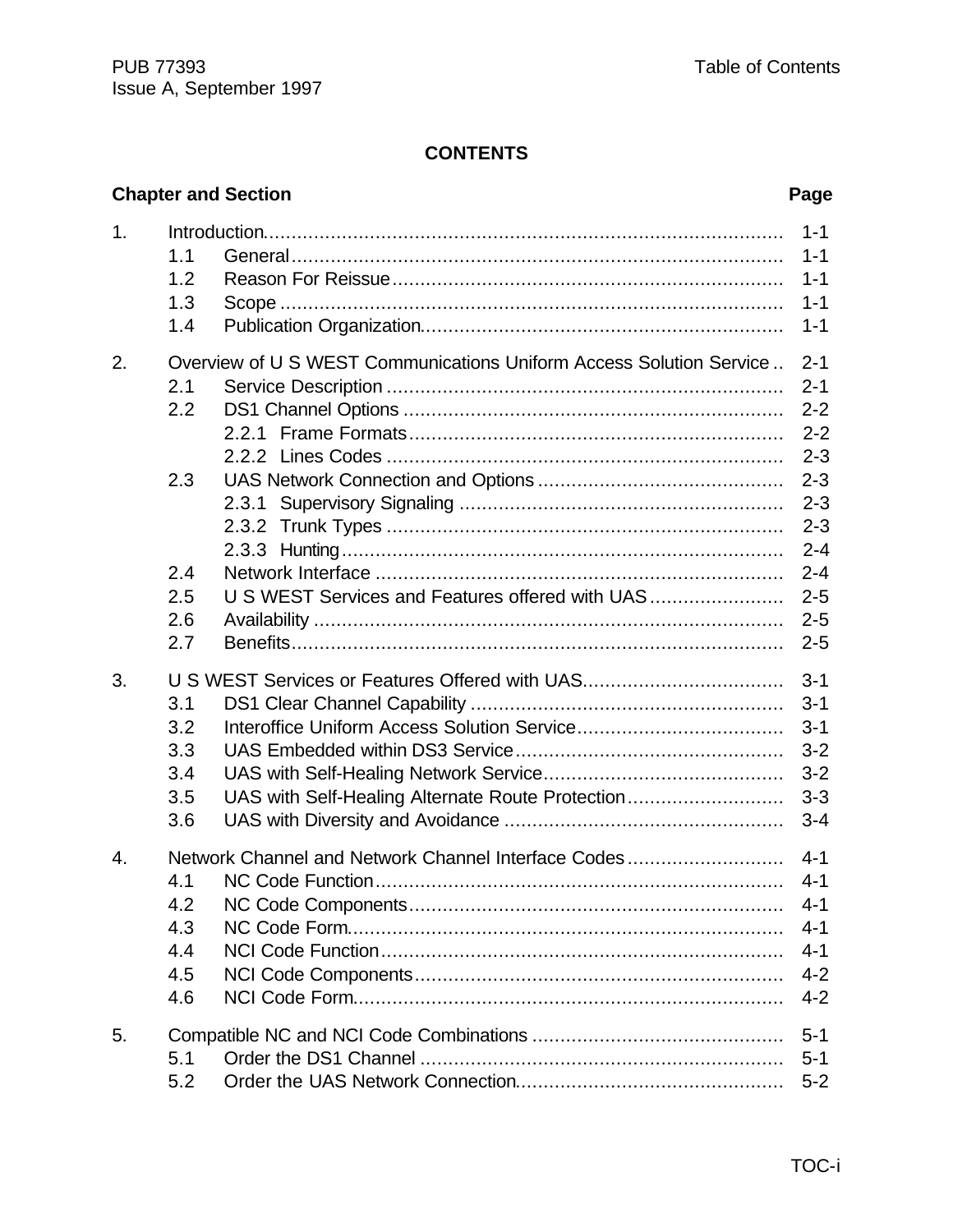### **CONTENTS**

|    |                                        | <b>Chapter and Section</b>                                                                         | Page                                                                                 |
|----|----------------------------------------|----------------------------------------------------------------------------------------------------|--------------------------------------------------------------------------------------|
| 1. | 1.1<br>1.2<br>1.3<br>1.4               |                                                                                                    | $1 - 1$<br>$1 - 1$<br>$1 - 1$<br>$1 - 1$<br>$1 - 1$                                  |
| 2. | 2.1<br>2.2                             | Overview of U S WEST Communications Uniform Access Solution Service                                | $2 - 1$<br>$2 - 1$<br>$2 - 2$<br>$2 - 2$<br>$2 - 3$                                  |
|    | 2.3<br>2.4<br>2.5<br>2.6<br>2.7        | U S WEST Services and Features offered with UAS                                                    | $2 - 3$<br>$2 - 3$<br>$2 - 3$<br>$2 - 4$<br>$2 - 4$<br>$2 - 5$<br>$2 - 5$<br>$2 - 5$ |
| 3. | 3.1<br>3.2<br>3.3<br>3.4<br>3.5<br>3.6 | U S WEST Services or Features Offered with UAS<br>UAS with Self-Healing Alternate Route Protection | $3 - 1$<br>$3 - 1$<br>$3 - 1$<br>$3 - 2$<br>$3 - 2$<br>$3 - 3$<br>$3 - 4$            |
| 4. | 4.1<br>4.2<br>4.3<br>4.4<br>4.5<br>4.6 | Network Channel and Network Channel Interface Codes                                                | $4 - 1$<br>$4 - 1$<br>$4 - 1$<br>$4 - 1$<br>$4 - 1$<br>$4 - 2$<br>$4 - 2$            |
| 5. | 5.1<br>5.2                             |                                                                                                    | $5 - 1$<br>$5 - 1$<br>$5 - 2$                                                        |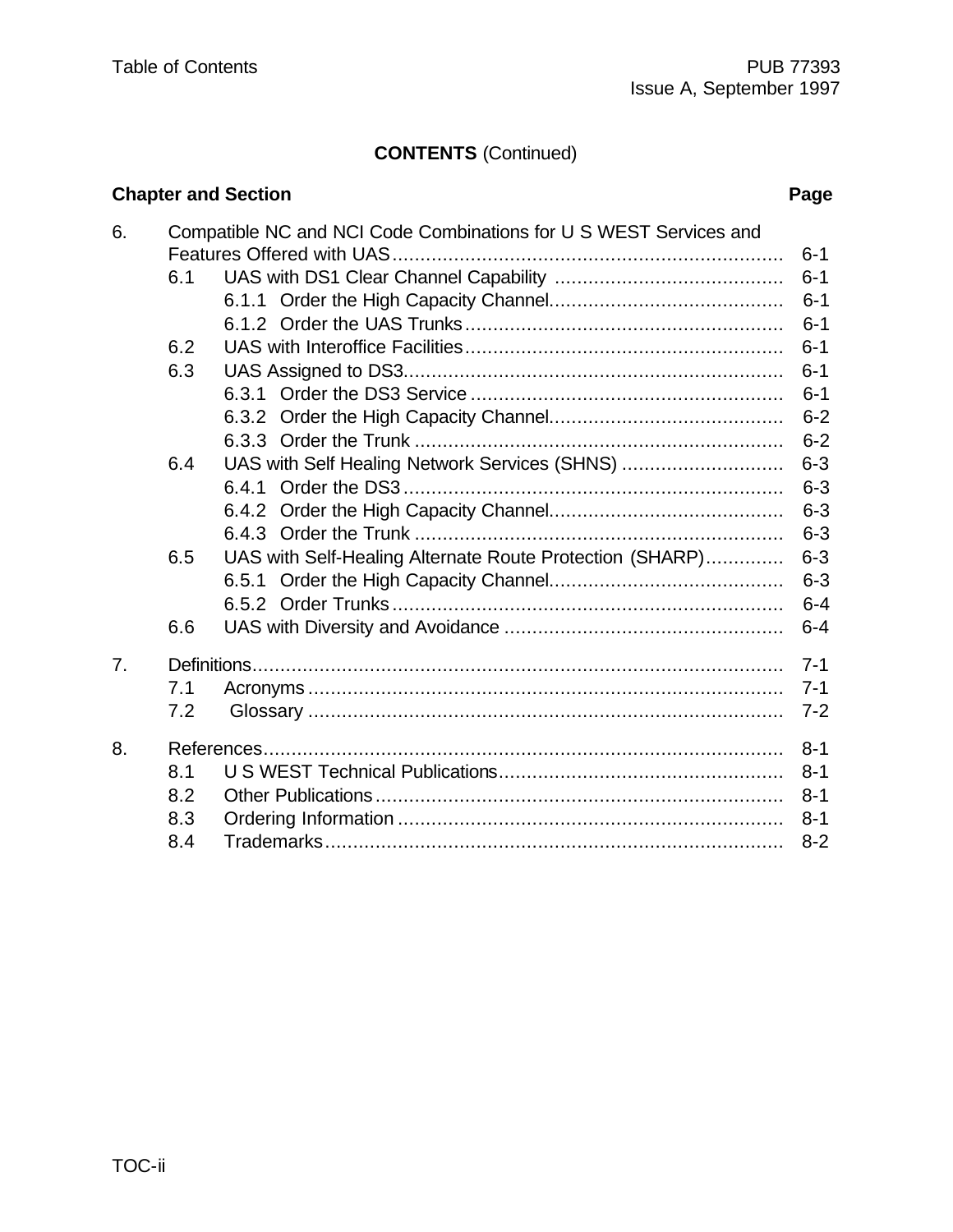## **CONTENTS** (Continued)

# **Chapter and Section** *Page*

| 6. |     | Compatible NC and NCI Code Combinations for U S WEST Services and |         |
|----|-----|-------------------------------------------------------------------|---------|
|    |     |                                                                   | $6 - 1$ |
|    | 6.1 |                                                                   | $6 - 1$ |
|    |     |                                                                   | $6 - 1$ |
|    |     |                                                                   | $6 - 1$ |
|    | 6.2 |                                                                   | $6 - 1$ |
|    | 6.3 |                                                                   | $6 - 1$ |
|    |     |                                                                   | $6 - 1$ |
|    |     |                                                                   | $6 - 2$ |
|    |     |                                                                   | $6 - 2$ |
|    | 6.4 | UAS with Self Healing Network Services (SHNS)                     | $6 - 3$ |
|    |     |                                                                   | $6 - 3$ |
|    |     |                                                                   | $6 - 3$ |
|    |     |                                                                   | $6 - 3$ |
|    | 6.5 | UAS with Self-Healing Alternate Route Protection (SHARP)          | $6 - 3$ |
|    |     |                                                                   | $6 - 3$ |
|    |     |                                                                   | $6 - 4$ |
|    | 6.6 |                                                                   | $6 - 4$ |
| 7. |     |                                                                   | $7 - 1$ |
|    | 7.1 |                                                                   | $7 - 1$ |
|    | 7.2 |                                                                   | $7 - 2$ |
| 8. |     |                                                                   | $8 - 1$ |
|    | 8.1 |                                                                   | $8 - 1$ |
|    | 8.2 |                                                                   | $8 - 1$ |
|    | 8.3 |                                                                   | $8 - 1$ |
|    | 8.4 |                                                                   | $8 - 2$ |
|    |     |                                                                   |         |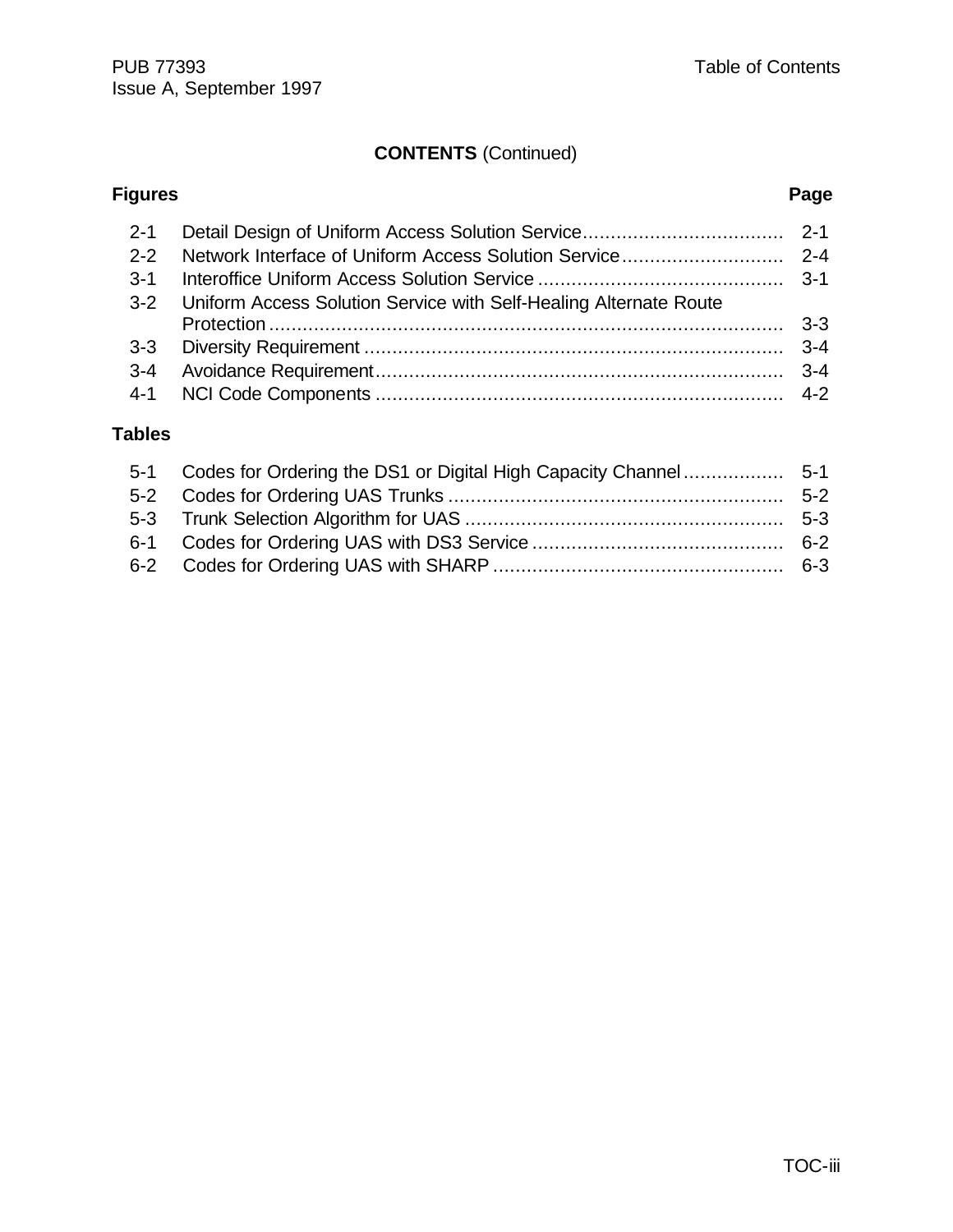# **CONTENTS** (Continued)

| <b>Figures</b> |                                                                   | Page |
|----------------|-------------------------------------------------------------------|------|
| $2 - 1$        |                                                                   |      |
| $2 - 2$        |                                                                   |      |
| $3 - 1$        |                                                                   |      |
| $3 - 2$        | Uniform Access Solution Service with Self-Healing Alternate Route |      |
| $3 - 3$        |                                                                   |      |
| $3 - 4$        |                                                                   |      |
| $4 - 1$        |                                                                   |      |

### **Tables**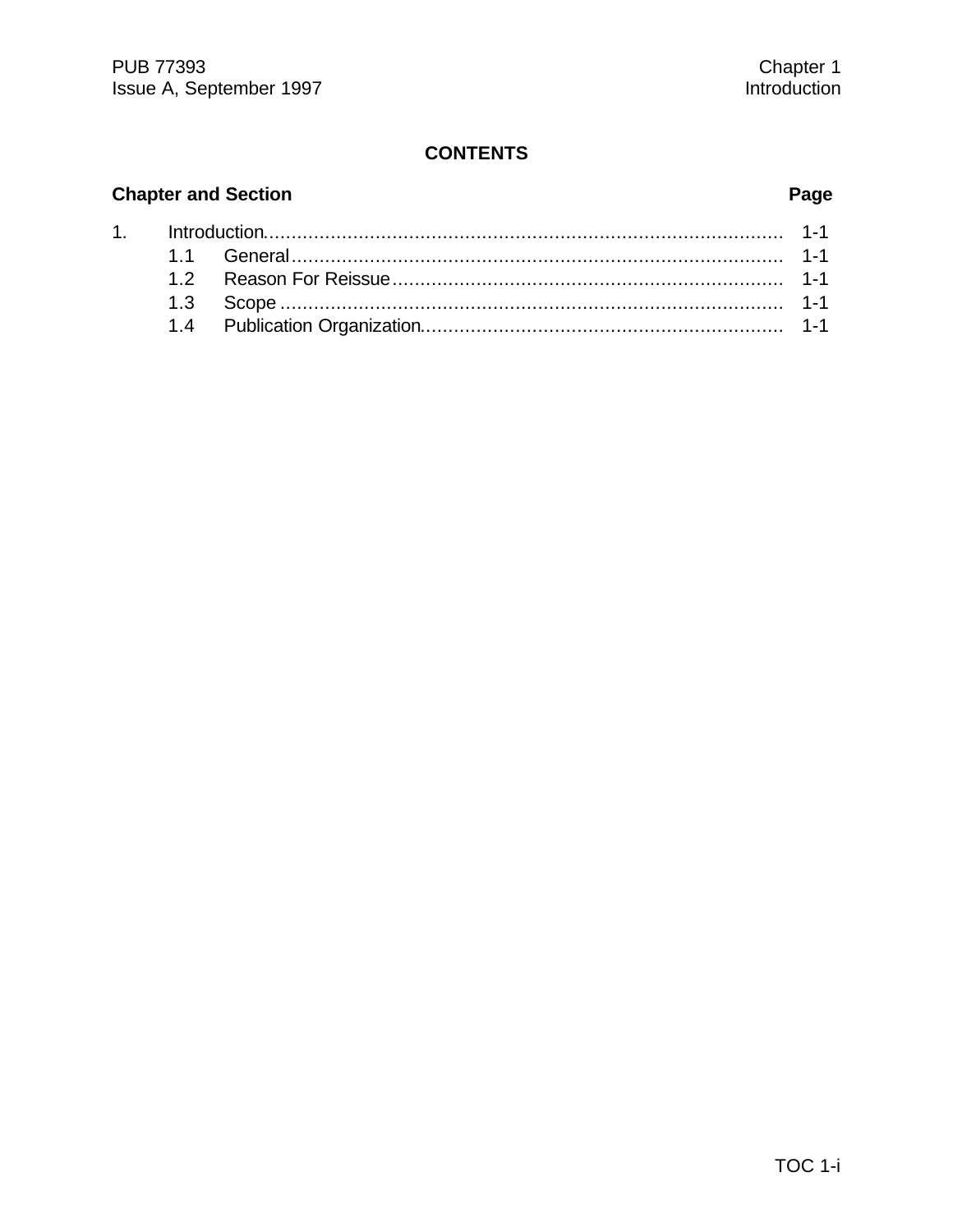#### **CONTENTS**

# **Chapter and Section**

 $1.$ 

# Page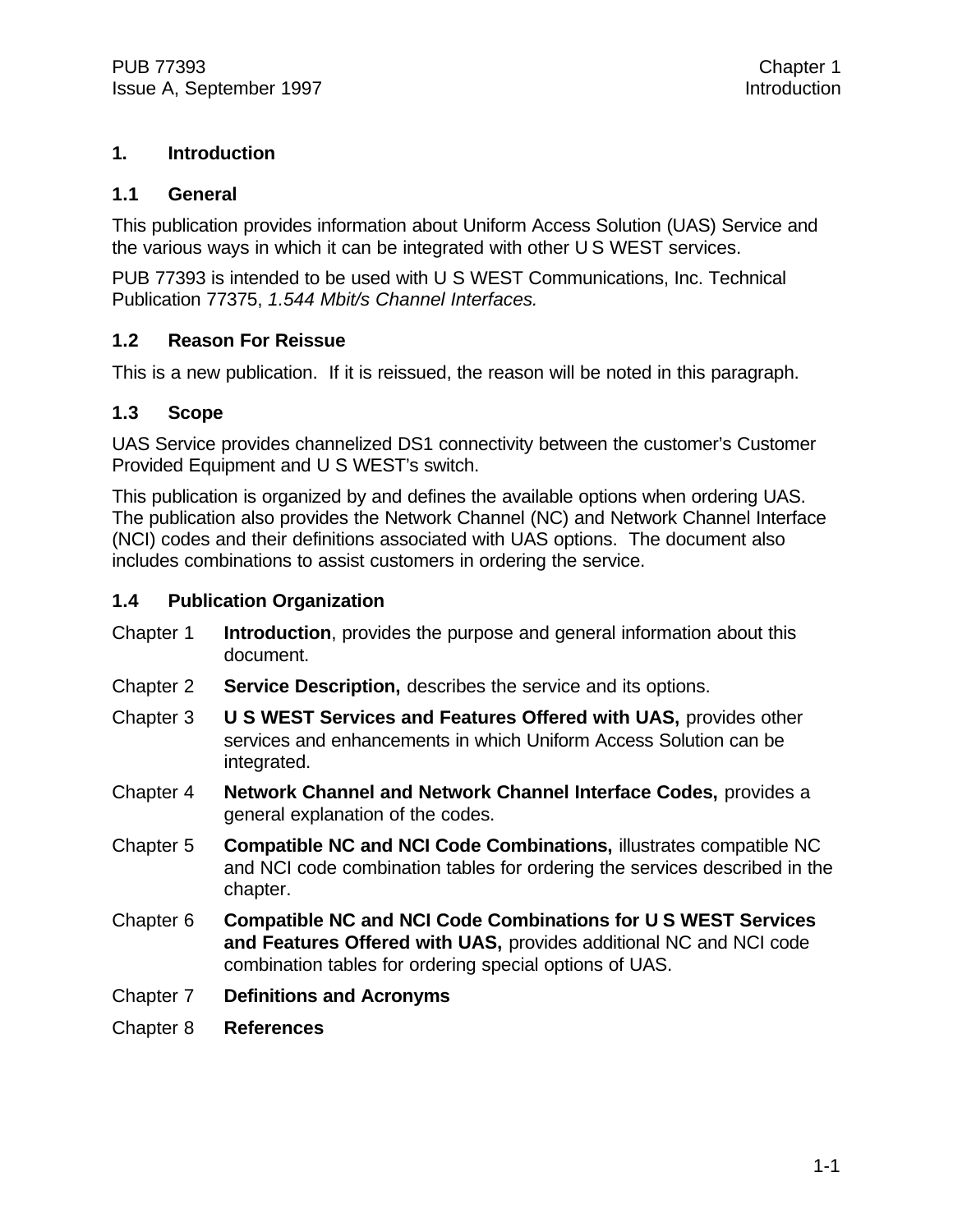#### **1. Introduction**

#### **1.1 General**

This publication provides information about Uniform Access Solution (UAS) Service and the various ways in which it can be integrated with other U S WEST services.

PUB 77393 is intended to be used with U S WEST Communications, Inc. Technical Publication 77375, *1.544 Mbit/s Channel Interfaces.*

#### **1.2 Reason For Reissue**

This is a new publication. If it is reissued, the reason will be noted in this paragraph.

#### **1.3 Scope**

UAS Service provides channelized DS1 connectivity between the customer's Customer Provided Equipment and U S WEST's switch.

This publication is organized by and defines the available options when ordering UAS. The publication also provides the Network Channel (NC) and Network Channel Interface (NCI) codes and their definitions associated with UAS options. The document also includes combinations to assist customers in ordering the service.

#### **1.4 Publication Organization**

- Chapter 1 **Introduction**, provides the purpose and general information about this document.
- Chapter 2 **Service Description,** describes the service and its options.
- Chapter 3 **U S WEST Services and Features Offered with UAS,** provides other services and enhancements in which Uniform Access Solution can be integrated.
- Chapter 4 **Network Channel and Network Channel Interface Codes,** provides a general explanation of the codes.
- Chapter 5 **Compatible NC and NCI Code Combinations,** illustrates compatible NC and NCI code combination tables for ordering the services described in the chapter.
- Chapter 6 **Compatible NC and NCI Code Combinations for U S WEST Services and Features Offered with UAS,** provides additional NC and NCI code combination tables for ordering special options of UAS.
- Chapter 7 **Definitions and Acronyms**
- Chapter 8 **References**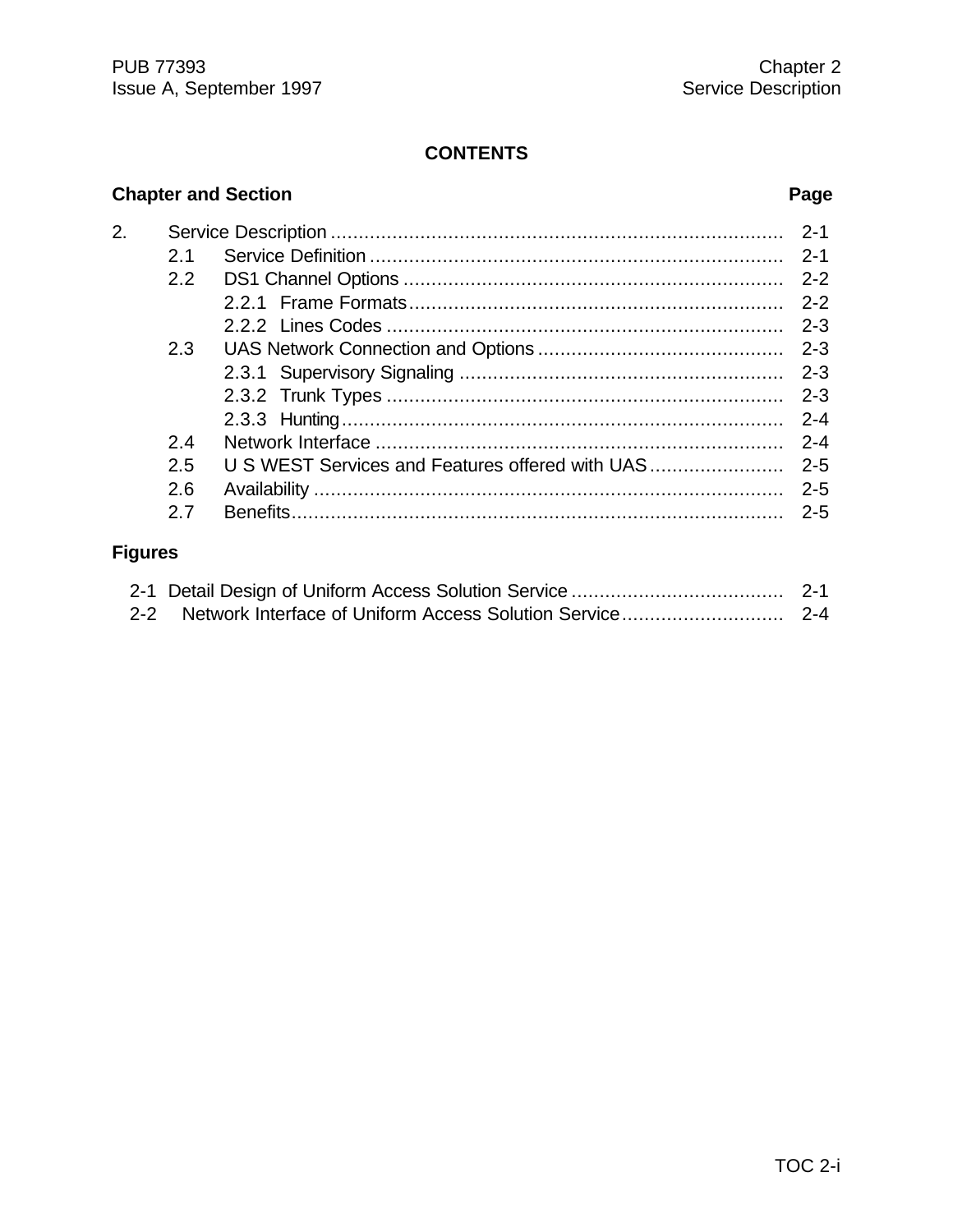#### **CONTENTS**

## **Chapter and Section Page** 2. Service Description ................................................................................. 2-1 2.1 Service Definition .......................................................................... 2-1 2.2 DS1 Channel Options .................................................................... 2-2 2.2.1 Frame Formats................................................................... 2-2 2.2.2 Lines Codes ....................................................................... 2-3 2.3 UAS Network Connection and Options ............................................ 2-3 2.3.1 Supervisory Signaling .......................................................... 2-3 2.3.2 Trunk Types ....................................................................... 2-3 2.3.3 Hunting............................................................................... 2-4 2.4 Network Interface ......................................................................... 2-4 2.5 U S WEST Services and Features offered with UAS........................ 2-5 2.6 Availability .................................................................................... 2-5 2.7 Benefits........................................................................................ 2-5 **Figures**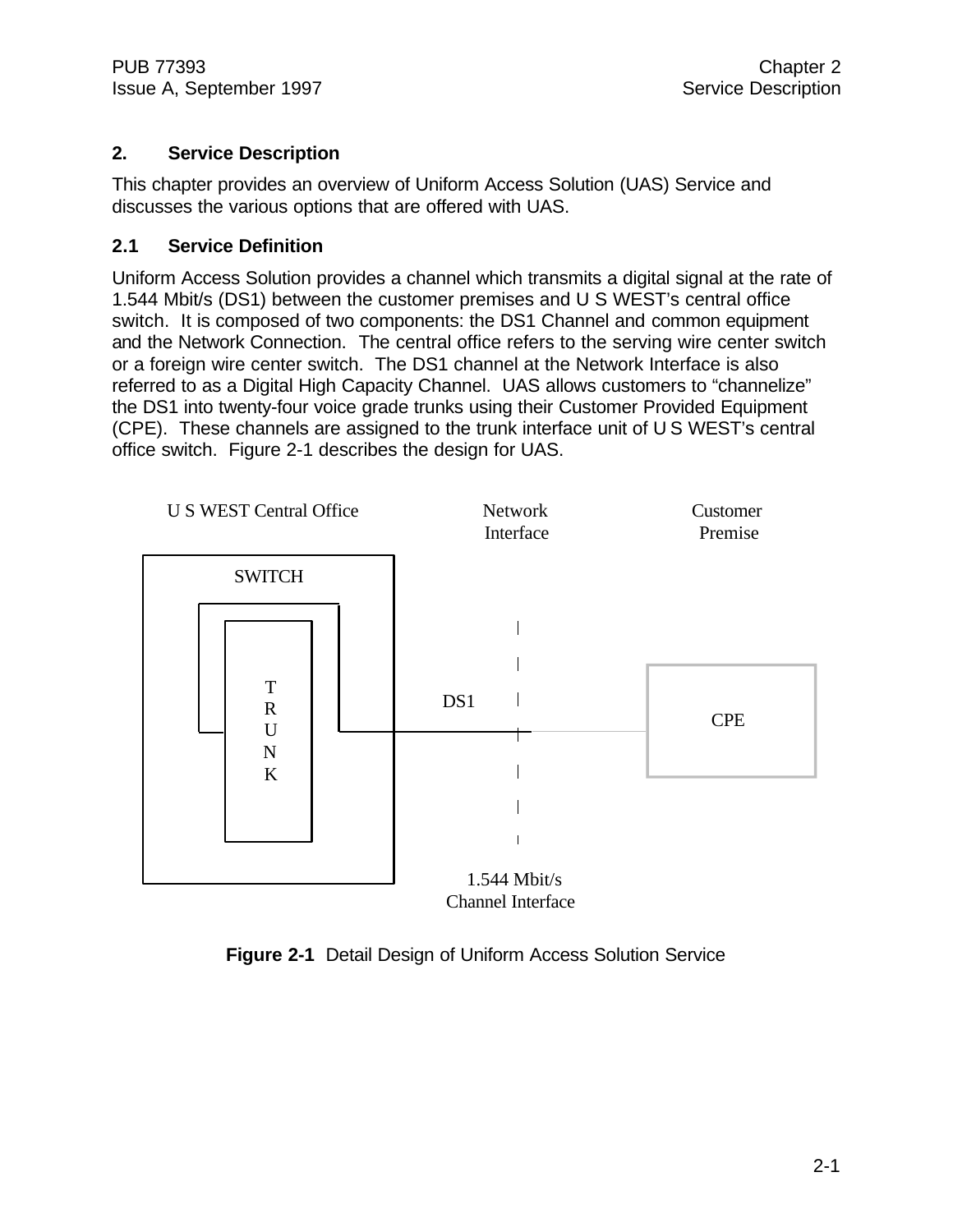#### **2. Service Description**

This chapter provides an overview of Uniform Access Solution (UAS) Service and discusses the various options that are offered with UAS.

#### **2.1 Service Definition**

Uniform Access Solution provides a channel which transmits a digital signal at the rate of 1.544 Mbit/s (DS1) between the customer premises and U S WEST's central office switch. It is composed of two components: the DS1 Channel and common equipment and the Network Connection. The central office refers to the serving wire center switch or a foreign wire center switch. The DS1 channel at the Network Interface is also referred to as a Digital High Capacity Channel. UAS allows customers to "channelize" the DS1 into twenty-four voice grade trunks using their Customer Provided Equipment (CPE). These channels are assigned to the trunk interface unit of U S WEST's central office switch. Figure 2-1 describes the design for UAS.



**Figure 2-1** Detail Design of Uniform Access Solution Service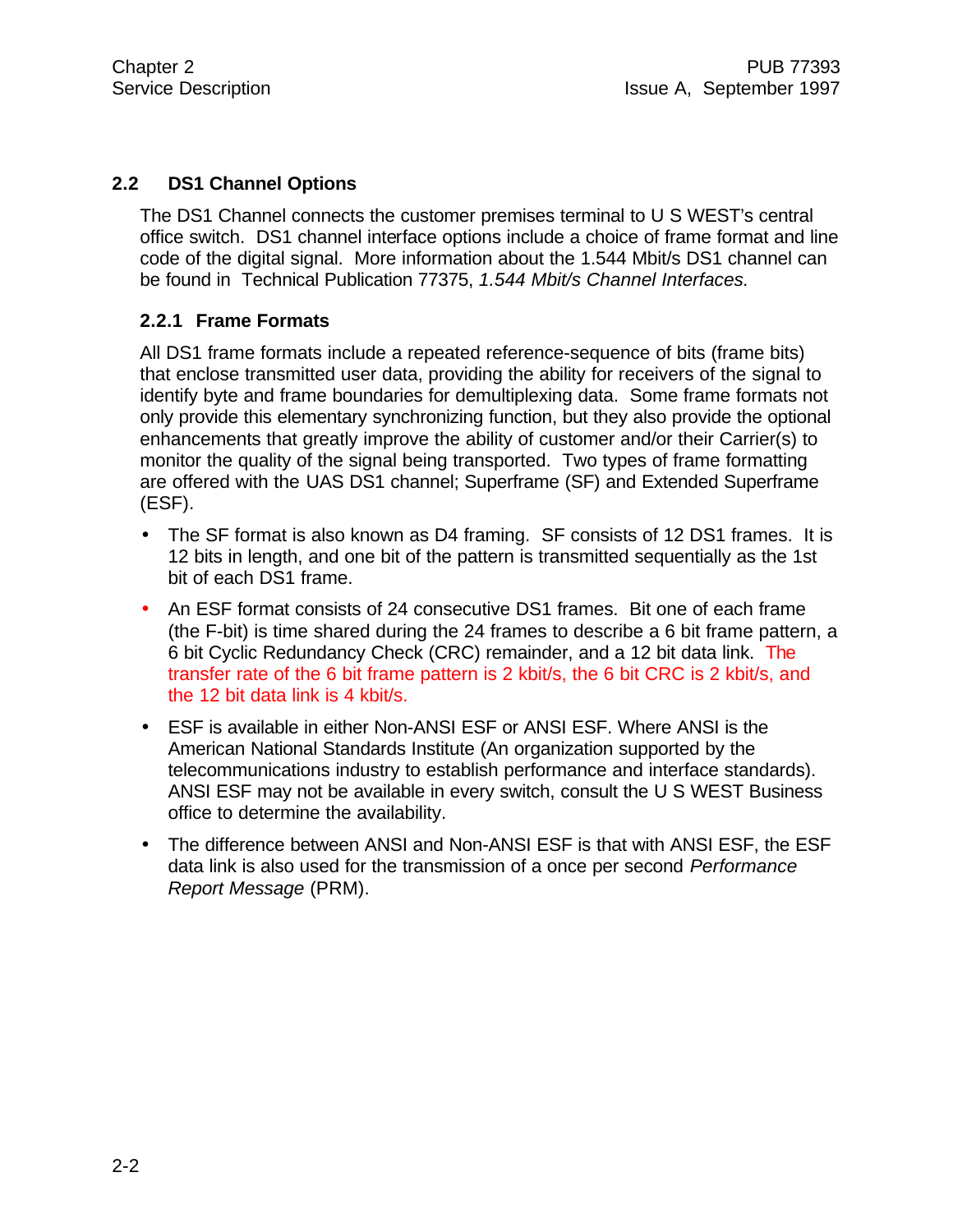#### **2.2 DS1 Channel Options**

The DS1 Channel connects the customer premises terminal to U S WEST's central office switch. DS1 channel interface options include a choice of frame format and line code of the digital signal. More information about the 1.544 Mbit/s DS1 channel can be found in Technical Publication 77375, *1.544 Mbit/s Channel Interfaces.*

#### **2.2.1 Frame Formats**

All DS1 frame formats include a repeated reference-sequence of bits (frame bits) that enclose transmitted user data, providing the ability for receivers of the signal to identify byte and frame boundaries for demultiplexing data. Some frame formats not only provide this elementary synchronizing function, but they also provide the optional enhancements that greatly improve the ability of customer and/or their Carrier(s) to monitor the quality of the signal being transported. Two types of frame formatting are offered with the UAS DS1 channel; Superframe (SF) and Extended Superframe (ESF).

- The SF format is also known as D4 framing. SF consists of 12 DS1 frames. It is 12 bits in length, and one bit of the pattern is transmitted sequentially as the 1st bit of each DS1 frame.
- An ESF format consists of 24 consecutive DS1 frames. Bit one of each frame (the F-bit) is time shared during the 24 frames to describe a 6 bit frame pattern, a 6 bit Cyclic Redundancy Check (CRC) remainder, and a 12 bit data link. The transfer rate of the 6 bit frame pattern is 2 kbit/s, the 6 bit CRC is 2 kbit/s, and the 12 bit data link is 4 kbit/s.
- ESF is available in either Non-ANSI ESF or ANSI ESF. Where ANSI is the American National Standards Institute (An organization supported by the telecommunications industry to establish performance and interface standards). ANSI ESF may not be available in every switch, consult the U S WEST Business office to determine the availability.
- The difference between ANSI and Non-ANSI ESF is that with ANSI ESF, the ESF data link is also used for the transmission of a once per second *Performance Report Message* (PRM).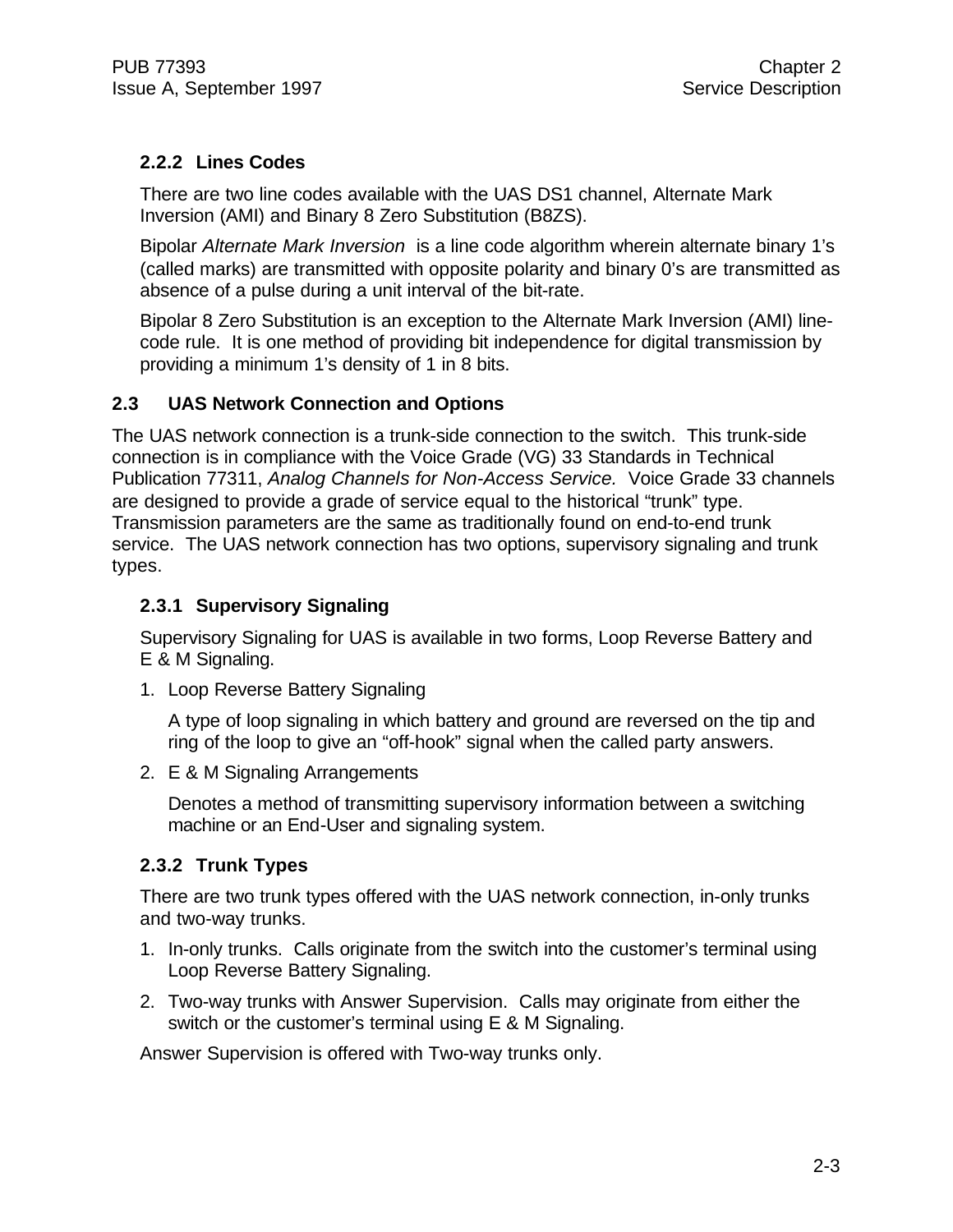#### **2.2.2 Lines Codes**

There are two line codes available with the UAS DS1 channel, Alternate Mark Inversion (AMI) and Binary 8 Zero Substitution (B8ZS).

Bipolar *Alternate Mark Inversion* is a line code algorithm wherein alternate binary 1's (called marks) are transmitted with opposite polarity and binary 0's are transmitted as absence of a pulse during a unit interval of the bit-rate.

Bipolar 8 Zero Substitution is an exception to the Alternate Mark Inversion (AMI) linecode rule. It is one method of providing bit independence for digital transmission by providing a minimum 1's density of 1 in 8 bits.

#### **2.3 UAS Network Connection and Options**

The UAS network connection is a trunk-side connection to the switch. This trunk-side connection is in compliance with the Voice Grade (VG) 33 Standards in Technical Publication 77311, *Analog Channels for Non-Access Service.* Voice Grade 33 channels are designed to provide a grade of service equal to the historical "trunk" type. Transmission parameters are the same as traditionally found on end-to-end trunk service. The UAS network connection has two options, supervisory signaling and trunk types.

#### **2.3.1 Supervisory Signaling**

Supervisory Signaling for UAS is available in two forms, Loop Reverse Battery and E & M Signaling.

1. Loop Reverse Battery Signaling

A type of loop signaling in which battery and ground are reversed on the tip and ring of the loop to give an "off-hook" signal when the called party answers.

2. E & M Signaling Arrangements

Denotes a method of transmitting supervisory information between a switching machine or an End-User and signaling system.

#### **2.3.2 Trunk Types**

There are two trunk types offered with the UAS network connection, in-only trunks and two-way trunks.

- 1. In-only trunks. Calls originate from the switch into the customer's terminal using Loop Reverse Battery Signaling.
- 2. Two-way trunks with Answer Supervision. Calls may originate from either the switch or the customer's terminal using E & M Signaling.

Answer Supervision is offered with Two-way trunks only.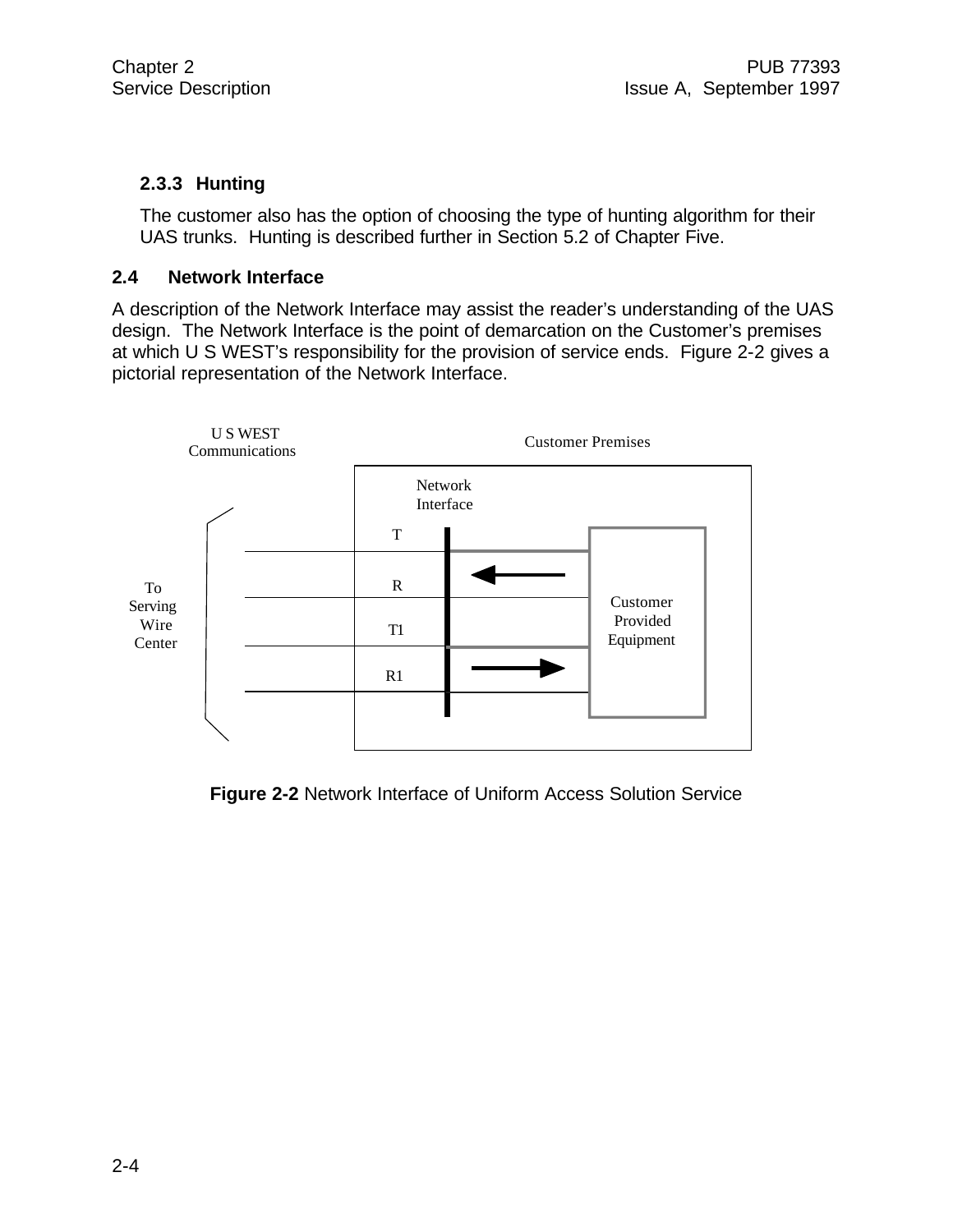#### **2.3.3 Hunting**

The customer also has the option of choosing the type of hunting algorithm for their UAS trunks. Hunting is described further in Section 5.2 of Chapter Five.

#### **2.4 Network Interface**

A description of the Network Interface may assist the reader's understanding of the UAS design. The Network Interface is the point of demarcation on the Customer's premises at which U S WEST's responsibility for the provision of service ends. Figure 2-2 gives a pictorial representation of the Network Interface.



**Figure 2-2** Network Interface of Uniform Access Solution Service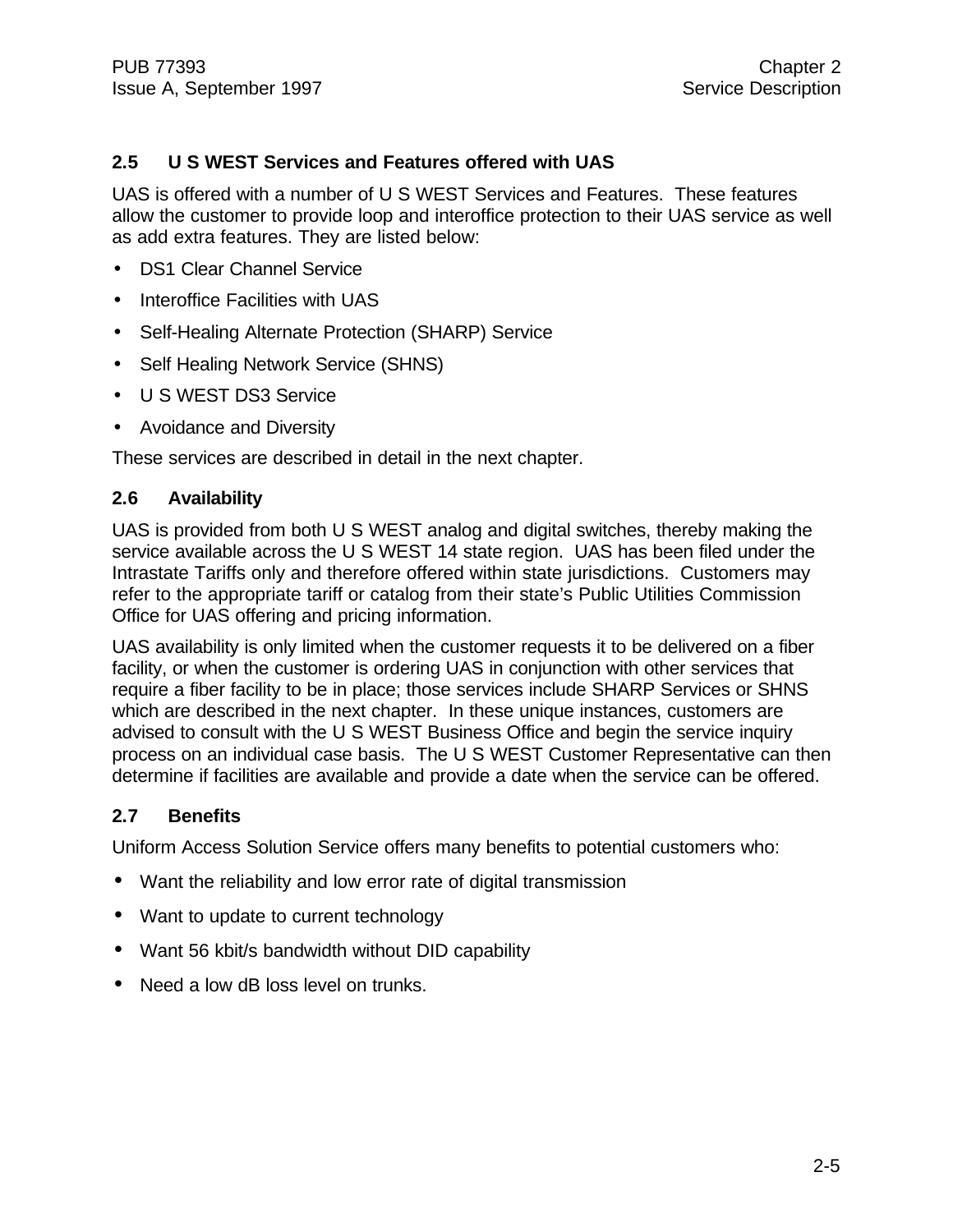#### **2.5 U S WEST Services and Features offered with UAS**

UAS is offered with a number of U S WEST Services and Features. These features allow the customer to provide loop and interoffice protection to their UAS service as well as add extra features. They are listed below:

- DS1 Clear Channel Service
- Interoffice Facilities with UAS
- Self-Healing Alternate Protection (SHARP) Service
- Self Healing Network Service (SHNS)
- U S WEST DS3 Service
- Avoidance and Diversity

These services are described in detail in the next chapter.

#### **2.6 Availability**

UAS is provided from both U S WEST analog and digital switches, thereby making the service available across the U S WEST 14 state region. UAS has been filed under the Intrastate Tariffs only and therefore offered within state jurisdictions. Customers may refer to the appropriate tariff or catalog from their state's Public Utilities Commission Office for UAS offering and pricing information.

UAS availability is only limited when the customer requests it to be delivered on a fiber facility, or when the customer is ordering UAS in conjunction with other services that require a fiber facility to be in place; those services include SHARP Services or SHNS which are described in the next chapter. In these unique instances, customers are advised to consult with the U S WEST Business Office and begin the service inquiry process on an individual case basis. The U S WEST Customer Representative can then determine if facilities are available and provide a date when the service can be offered.

#### **2.7 Benefits**

Uniform Access Solution Service offers many benefits to potential customers who:

- Want the reliability and low error rate of digital transmission
- Want to update to current technology
- Want 56 kbit/s bandwidth without DID capability
- Need a low dB loss level on trunks.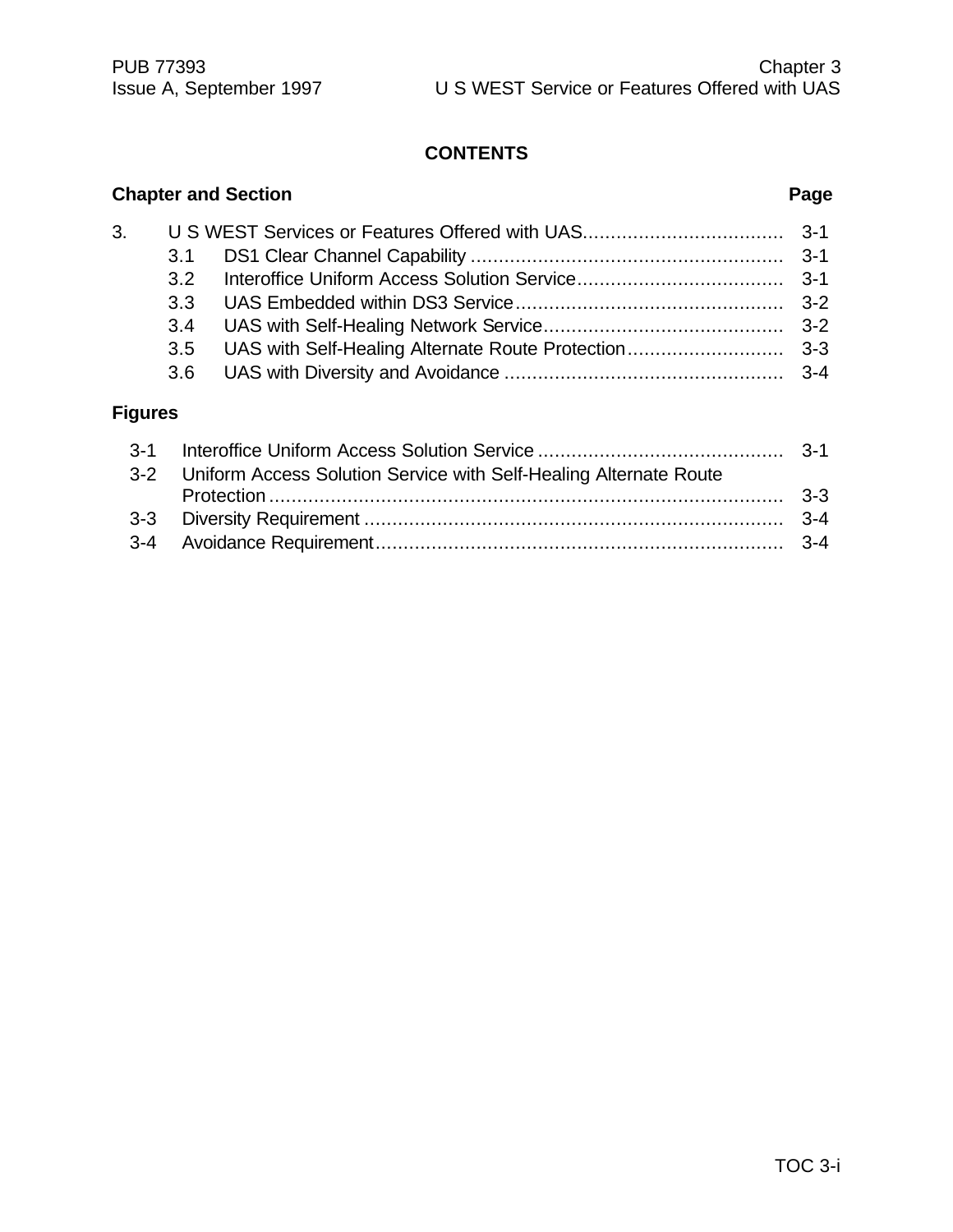### **CONTENTS**

|    |                  | <b>Chapter and Section</b> | Page |
|----|------------------|----------------------------|------|
| 3. | 3.1              |                            |      |
|    | 3.2 <sup>°</sup> |                            |      |
|    | 3.3<br>3.4       |                            |      |
|    | 3.5              |                            |      |
|    | 3.6              |                            |      |

## **Figures**

| 3-2 Uniform Access Solution Service with Self-Healing Alternate Route |  |
|-----------------------------------------------------------------------|--|
|                                                                       |  |
|                                                                       |  |
|                                                                       |  |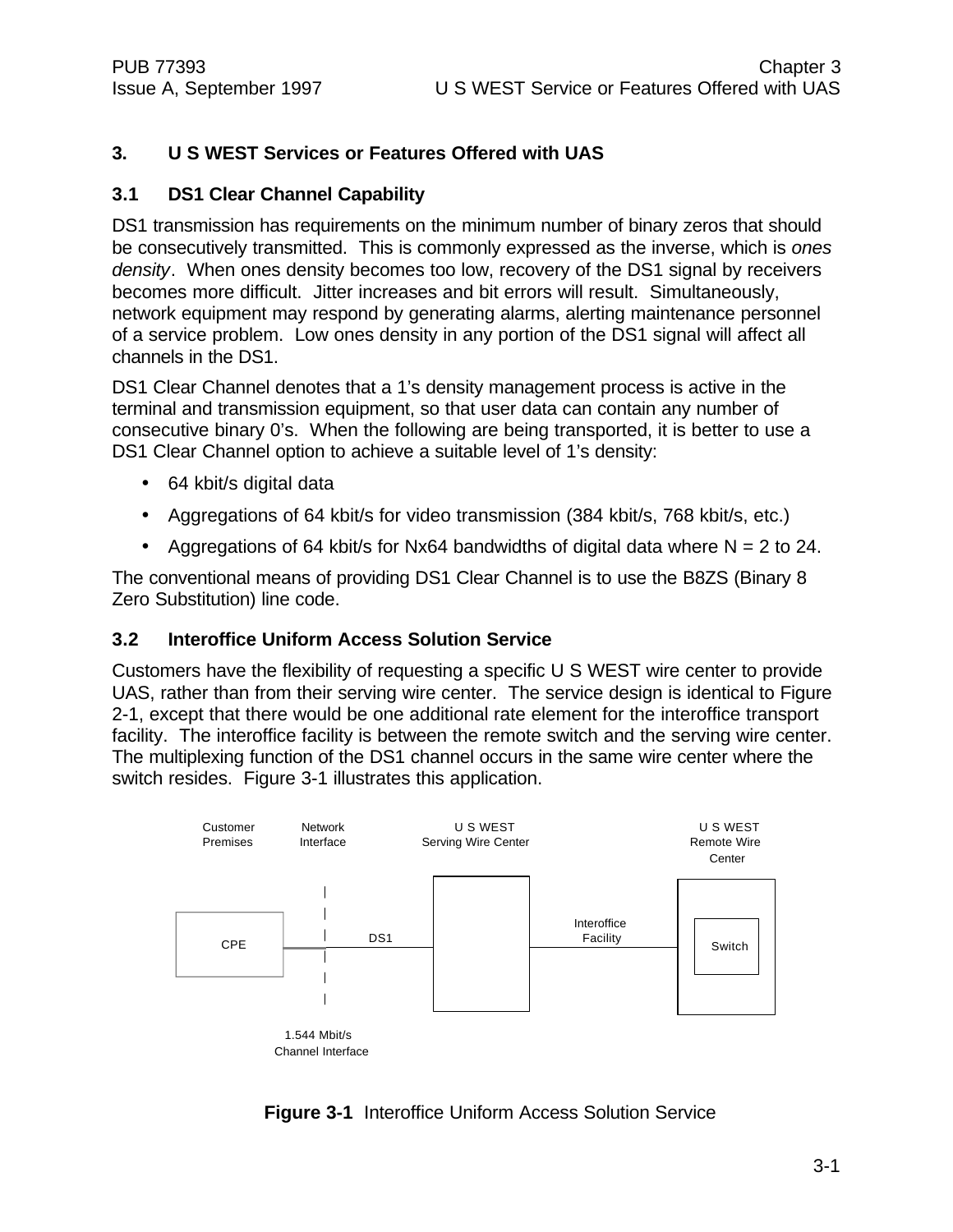#### **3. U S WEST Services or Features Offered with UAS**

#### **3.1 DS1 Clear Channel Capability**

DS1 transmission has requirements on the minimum number of binary zeros that should be consecutively transmitted. This is commonly expressed as the inverse, which is *ones density*. When ones density becomes too low, recovery of the DS1 signal by receivers becomes more difficult. Jitter increases and bit errors will result. Simultaneously, network equipment may respond by generating alarms, alerting maintenance personnel of a service problem. Low ones density in any portion of the DS1 signal will affect all channels in the DS1.

DS1 Clear Channel denotes that a 1's density management process is active in the terminal and transmission equipment, so that user data can contain any number of consecutive binary 0's. When the following are being transported, it is better to use a DS1 Clear Channel option to achieve a suitable level of 1's density:

- 64 kbit/s digital data
- Aggregations of 64 kbit/s for video transmission (384 kbit/s, 768 kbit/s, etc.)
- Aggregations of 64 kbit/s for Nx64 bandwidths of digital data where  $N = 2$  to 24.

The conventional means of providing DS1 Clear Channel is to use the B8ZS (Binary 8 Zero Substitution) line code.

#### **3.2 Interoffice Uniform Access Solution Service**

Customers have the flexibility of requesting a specific U S WEST wire center to provide UAS, rather than from their serving wire center. The service design is identical to Figure 2-1, except that there would be one additional rate element for the interoffice transport facility. The interoffice facility is between the remote switch and the serving wire center. The multiplexing function of the DS1 channel occurs in the same wire center where the switch resides. Figure 3-1 illustrates this application.



#### **Figure 3-1** Interoffice Uniform Access Solution Service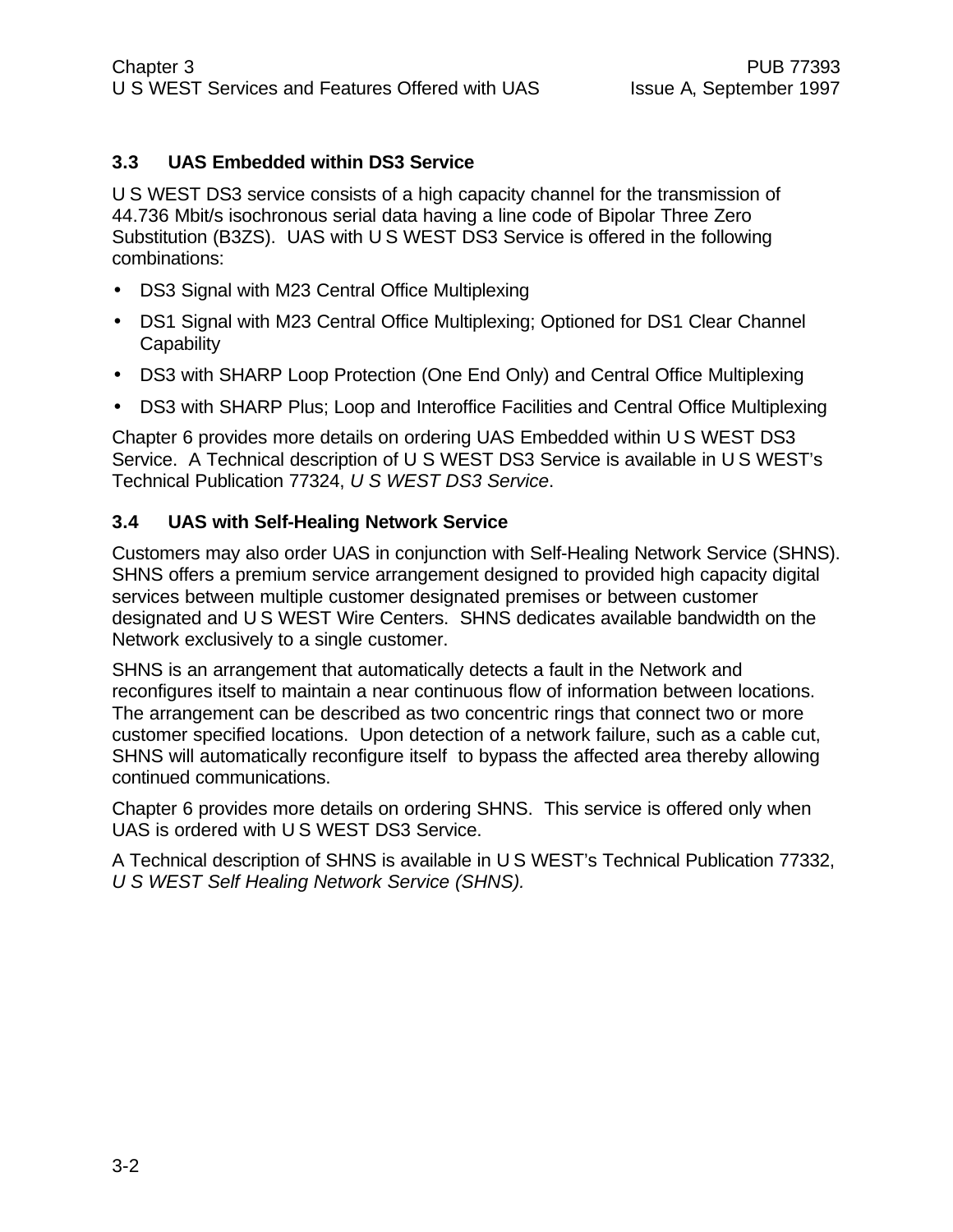#### **3.3 UAS Embedded within DS3 Service**

U S WEST DS3 service consists of a high capacity channel for the transmission of 44.736 Mbit/s isochronous serial data having a line code of Bipolar Three Zero Substitution (B3ZS). UAS with U S WEST DS3 Service is offered in the following combinations:

- DS3 Signal with M23 Central Office Multiplexing
- DS1 Signal with M23 Central Office Multiplexing; Optioned for DS1 Clear Channel **Capability**
- DS3 with SHARP Loop Protection (One End Only) and Central Office Multiplexing
- DS3 with SHARP Plus; Loop and Interoffice Facilities and Central Office Multiplexing

Chapter 6 provides more details on ordering UAS Embedded within U S WEST DS3 Service. A Technical description of U S WEST DS3 Service is available in U S WEST's Technical Publication 77324, *U S WEST DS3 Service*.

#### **3.4 UAS with Self-Healing Network Service**

Customers may also order UAS in conjunction with Self-Healing Network Service (SHNS). SHNS offers a premium service arrangement designed to provided high capacity digital services between multiple customer designated premises or between customer designated and U S WEST Wire Centers. SHNS dedicates available bandwidth on the Network exclusively to a single customer.

SHNS is an arrangement that automatically detects a fault in the Network and reconfigures itself to maintain a near continuous flow of information between locations. The arrangement can be described as two concentric rings that connect two or more customer specified locations. Upon detection of a network failure, such as a cable cut, SHNS will automatically reconfigure itself to bypass the affected area thereby allowing continued communications.

Chapter 6 provides more details on ordering SHNS. This service is offered only when UAS is ordered with U S WEST DS3 Service.

A Technical description of SHNS is available in U S WEST's Technical Publication 77332, *U S WEST Self Healing Network Service (SHNS).*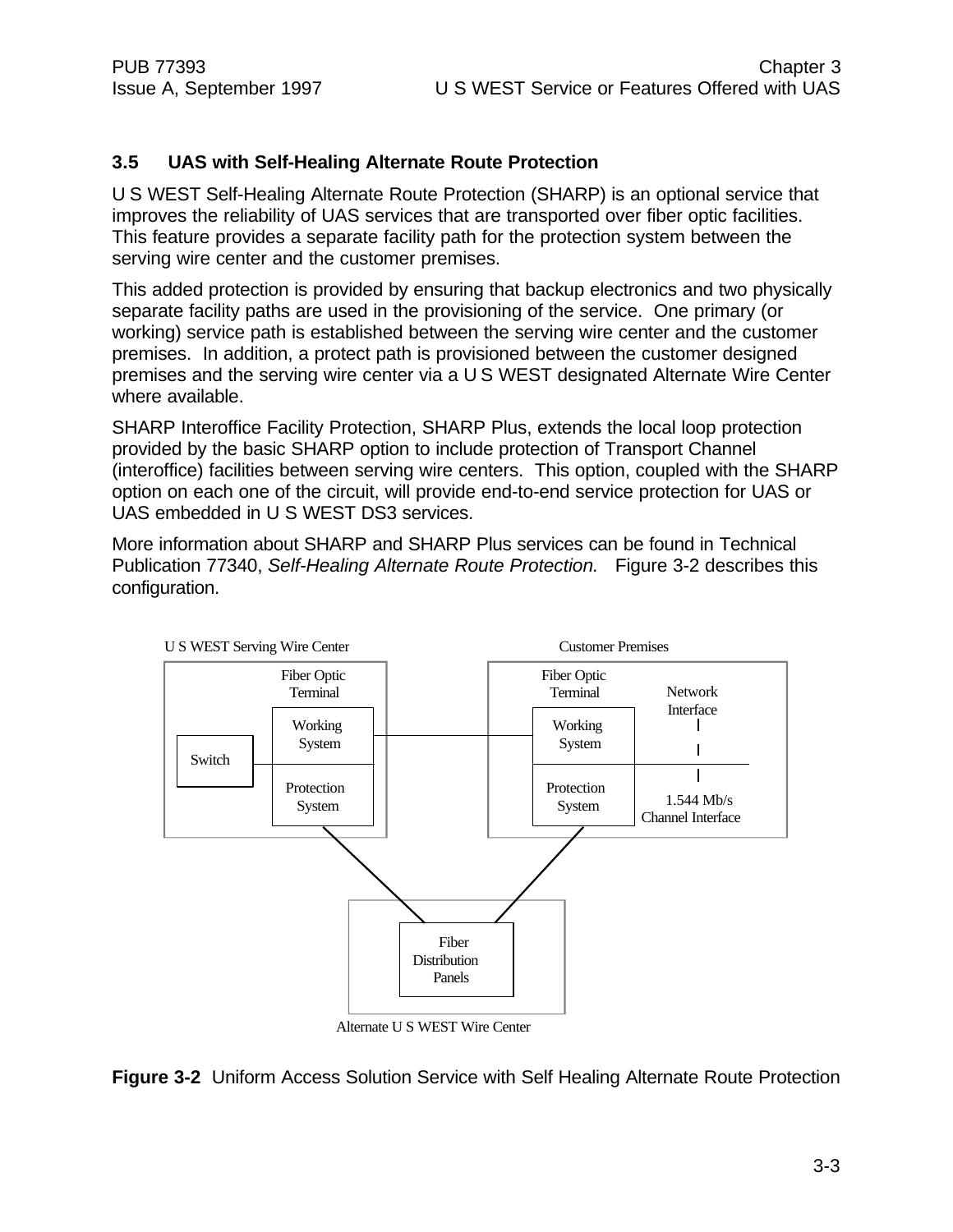#### **3.5 UAS with Self-Healing Alternate Route Protection**

U S WEST Self-Healing Alternate Route Protection (SHARP) is an optional service that improves the reliability of UAS services that are transported over fiber optic facilities. This feature provides a separate facility path for the protection system between the serving wire center and the customer premises.

This added protection is provided by ensuring that backup electronics and two physically separate facility paths are used in the provisioning of the service. One primary (or working) service path is established between the serving wire center and the customer premises. In addition, a protect path is provisioned between the customer designed premises and the serving wire center via a U S WEST designated Alternate Wire Center where available.

SHARP Interoffice Facility Protection, SHARP Plus, extends the local loop protection provided by the basic SHARP option to include protection of Transport Channel (interoffice) facilities between serving wire centers. This option, coupled with the SHARP option on each one of the circuit, will provide end-to-end service protection for UAS or UAS embedded in U S WEST DS3 services.

More information about SHARP and SHARP Plus services can be found in Technical Publication 77340, *Self-Healing Alternate Route Protection.* Figure 3-2 describes this configuration.



**Figure 3-2** Uniform Access Solution Service with Self Healing Alternate Route Protection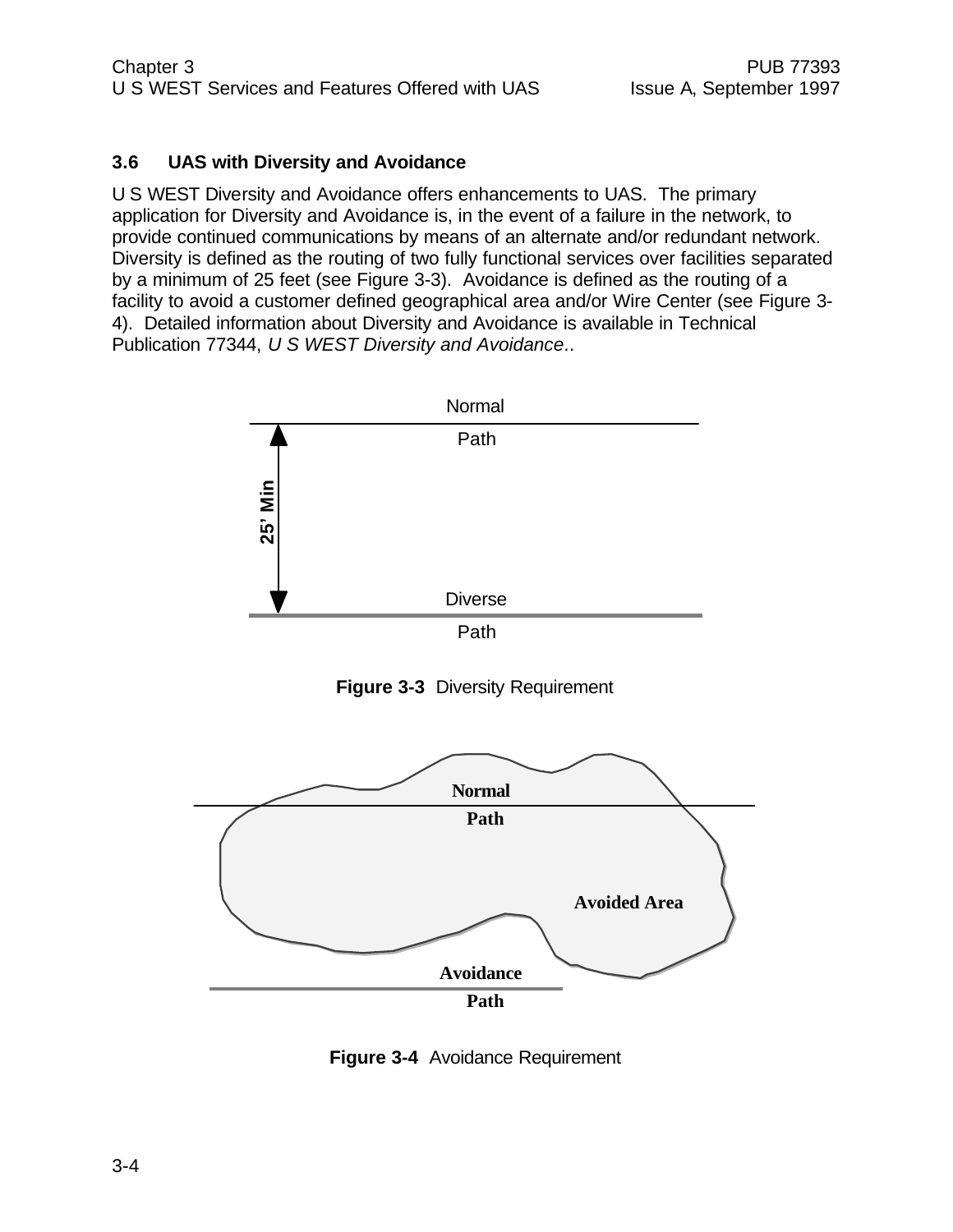#### **3.6 UAS with Diversity and Avoidance**

U S WEST Diversity and Avoidance offers enhancements to UAS. The primary application for Diversity and Avoidance is, in the event of a failure in the network, to provide continued communications by means of an alternate and/or redundant network. Diversity is defined as the routing of two fully functional services over facilities separated by a minimum of 25 feet (see Figure 3-3). Avoidance is defined as the routing of a facility to avoid a customer defined geographical area and/or Wire Center (see Figure 3- 4). Detailed information about Diversity and Avoidance is available in Technical Publication 77344, *U S WEST Diversity and Avoidance*..



**Figure 3-4** Avoidance Requirement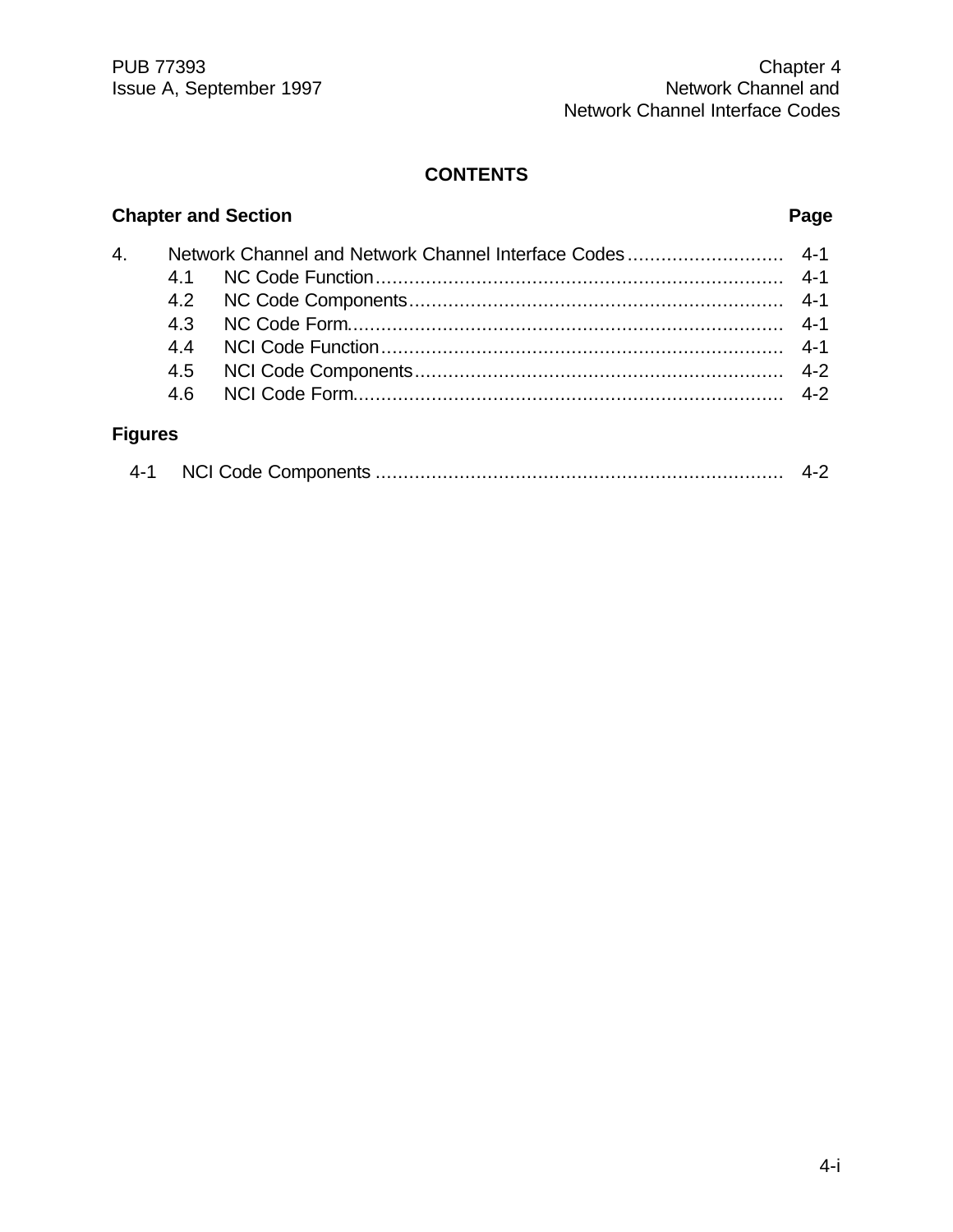PUB 77393 Chapter 4 Issue A, September 1997 Network Channel and Network Channel Interface Codes

#### **CONTENTS**

# 4. Network Channel and Network Channel Interface Codes ............................ 4-1 4.1 NC Code Function......................................................................... 4-1 4.2 NC Code Components................................................................... 4-1 4.3 NC Code Form.............................................................................. 4-1 4.4 NCI Code Function........................................................................ 4-1 4.5 NCI Code Components.................................................................. 4-2 4.6 NCI Code Form............................................................................. 4-2 **Figures**

#### 4-1 NCI Code Components ......................................................................... 4-2

#### **Chapter and Section Page**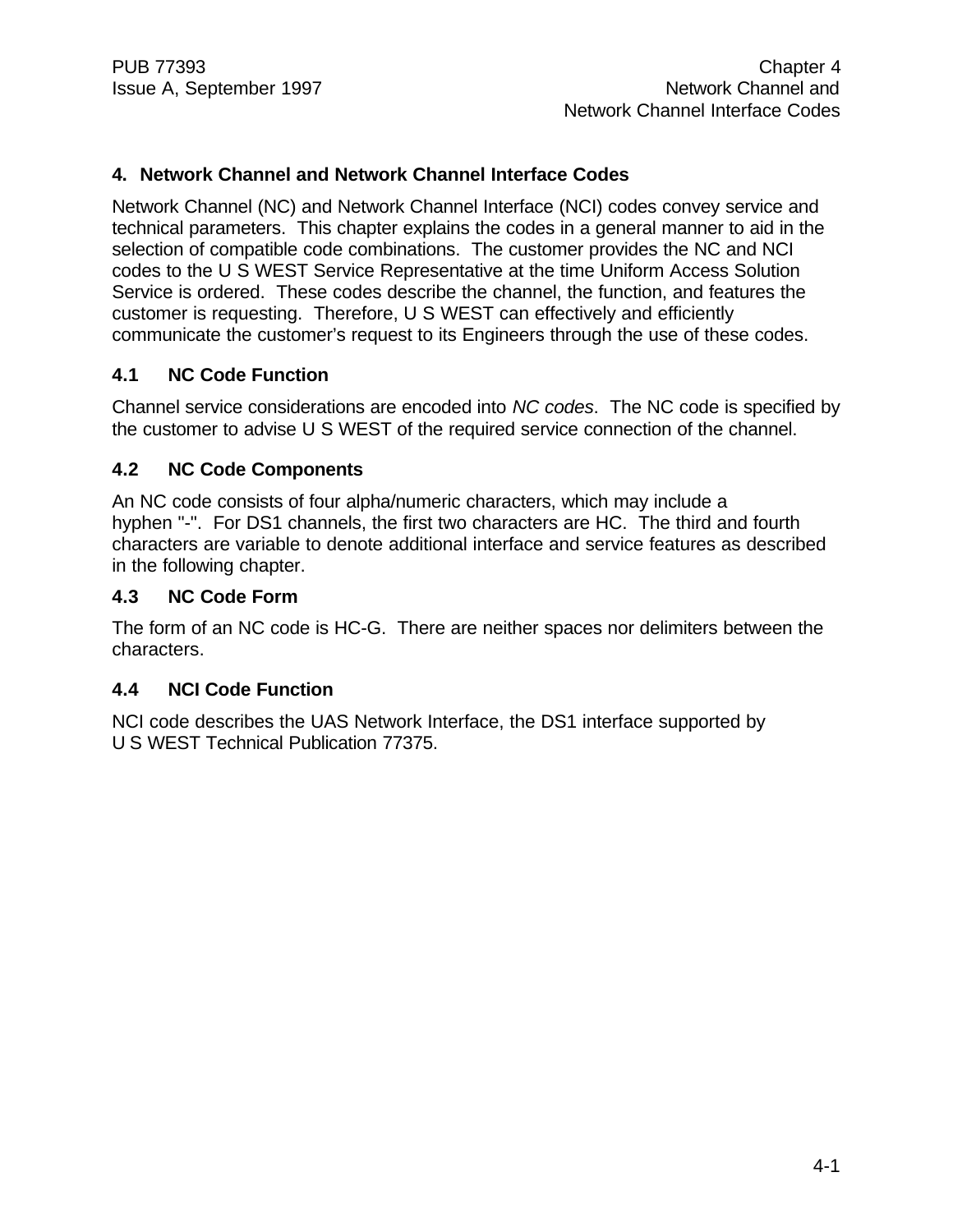#### **4. Network Channel and Network Channel Interface Codes**

Network Channel (NC) and Network Channel Interface (NCI) codes convey service and technical parameters. This chapter explains the codes in a general manner to aid in the selection of compatible code combinations. The customer provides the NC and NCI codes to the U S WEST Service Representative at the time Uniform Access Solution Service is ordered. These codes describe the channel, the function, and features the customer is requesting. Therefore, U S WEST can effectively and efficiently communicate the customer's request to its Engineers through the use of these codes.

#### **4.1 NC Code Function**

Channel service considerations are encoded into *NC codes*. The NC code is specified by the customer to advise U S WEST of the required service connection of the channel.

#### **4.2 NC Code Components**

An NC code consists of four alpha/numeric characters, which may include a hyphen "-". For DS1 channels, the first two characters are HC. The third and fourth characters are variable to denote additional interface and service features as described in the following chapter.

#### **4.3 NC Code Form**

The form of an NC code is HC-G. There are neither spaces nor delimiters between the characters.

#### **4.4 NCI Code Function**

NCI code describes the UAS Network Interface, the DS1 interface supported by U S WEST Technical Publication 77375.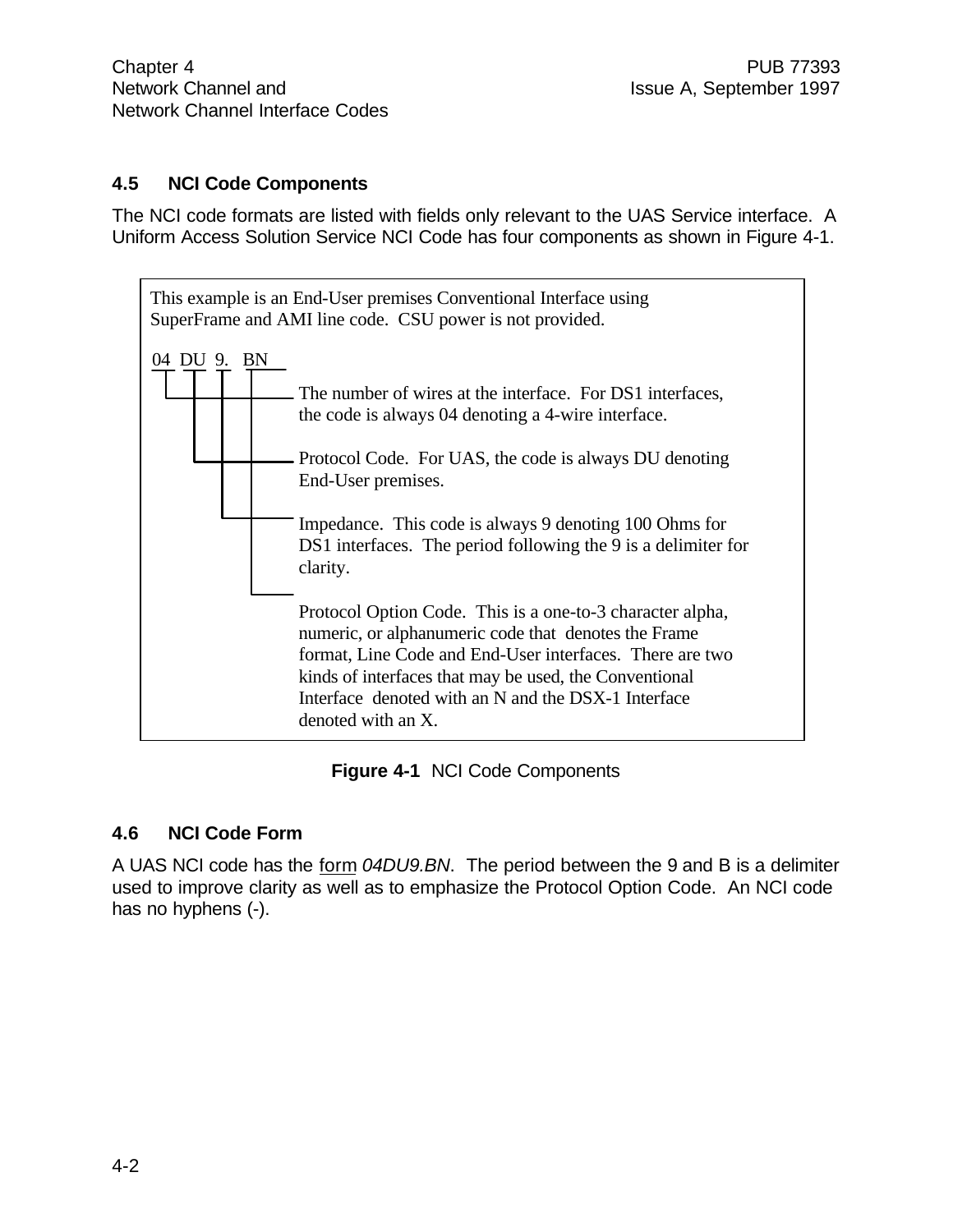#### **4.5 NCI Code Components**

The NCI code formats are listed with fields only relevant to the UAS Service interface. A Uniform Access Solution Service NCI Code has four components as shown in Figure 4-1.



**Figure 4-1** NCI Code Components

#### **4.6 NCI Code Form**

A UAS NCI code has the form *04DU9.BN*. The period between the 9 and B is a delimiter used to improve clarity as well as to emphasize the Protocol Option Code. An NCI code has no hyphens (-).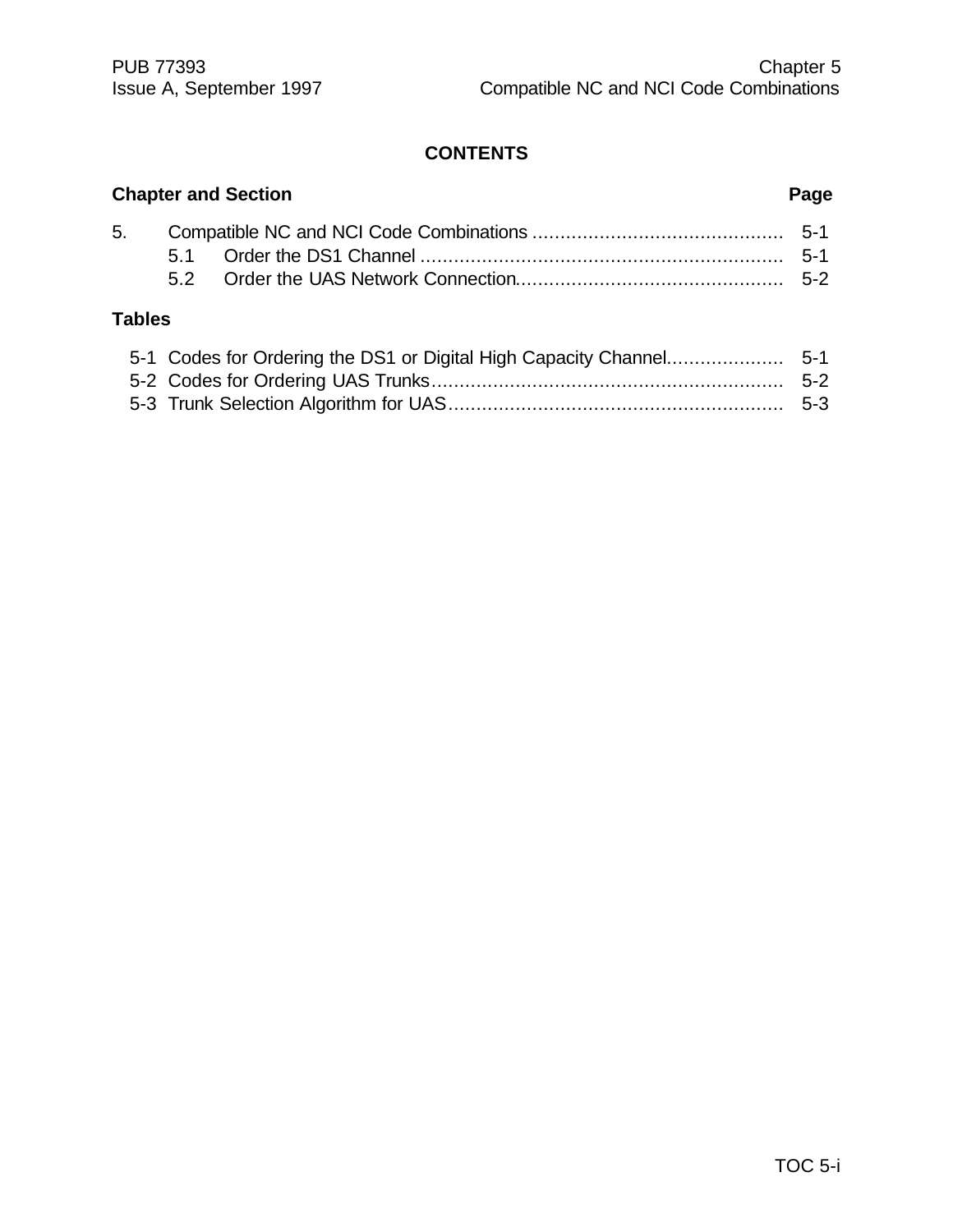### **CONTENTS**

|               | <b>Chapter and Section</b> | Page |
|---------------|----------------------------|------|
|               |                            |      |
|               |                            |      |
|               |                            |      |
| <b>Tables</b> |                            |      |
|               |                            |      |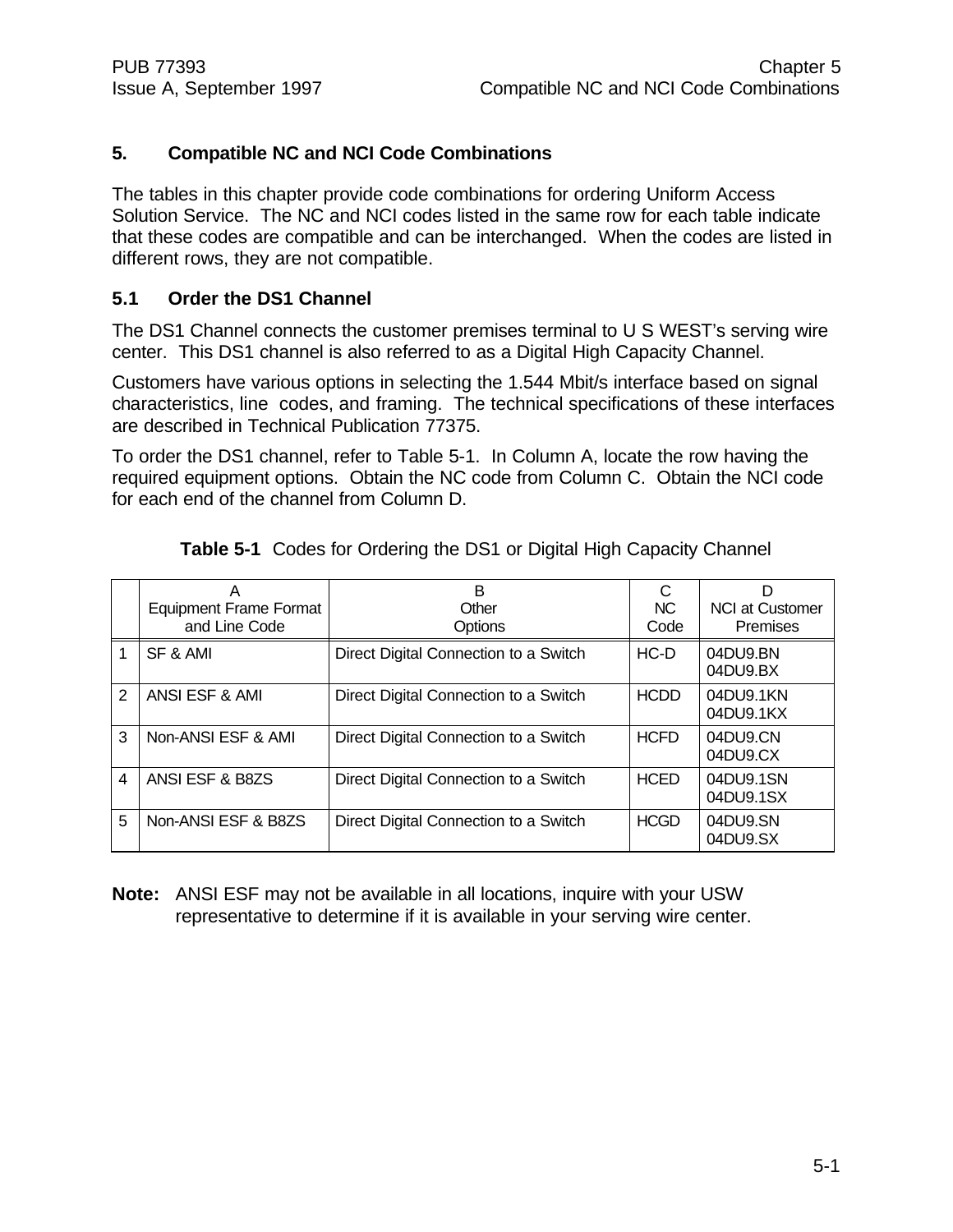#### **5. Compatible NC and NCI Code Combinations**

The tables in this chapter provide code combinations for ordering Uniform Access Solution Service. The NC and NCI codes listed in the same row for each table indicate that these codes are compatible and can be interchanged. When the codes are listed in different rows, they are not compatible.

#### **5.1 Order the DS1 Channel**

The DS1 Channel connects the customer premises terminal to U S WEST's serving wire center. This DS1 channel is also referred to as a Digital High Capacity Channel.

Customers have various options in selecting the 1.544 Mbit/s interface based on signal characteristics, line codes, and framing. The technical specifications of these interfaces are described in Technical Publication 77375.

To order the DS1 channel, refer to Table 5-1. In Column A, locate the row having the required equipment options. Obtain the NC code from Column C. Obtain the NCI code for each end of the channel from Column D.

|               | Α<br><b>Equipment Frame Format</b><br>and Line Code | B<br>Other<br>Options                 | <b>NC</b><br>Code | D<br><b>NCI at Customer</b><br>Premises |
|---------------|-----------------------------------------------------|---------------------------------------|-------------------|-----------------------------------------|
|               | SF & AMI                                            | Direct Digital Connection to a Switch | $HC-D$            | 04DU9.BN<br>04DU9.BX                    |
| $\mathcal{P}$ | ANSI ESF & AMI                                      | Direct Digital Connection to a Switch | <b>HCDD</b>       | 04DU9.1KN<br>04DU9.1KX                  |
| 3             | Non-ANSI ESF & AMI                                  | Direct Digital Connection to a Switch | <b>HCFD</b>       | 04DU9.CN<br>04DU9.CX                    |
| 4             | ANSI ESF & B8ZS                                     | Direct Digital Connection to a Switch | <b>HCED</b>       | 04DU9.1SN<br>04DU9.1SX                  |
| 5             | Non-ANSI ESF & B8ZS                                 | Direct Digital Connection to a Switch | <b>HCGD</b>       | 04DU9.SN<br>04DU9.SX                    |

**Table 5-1** Codes for Ordering the DS1 or Digital High Capacity Channel

**Note:** ANSI ESF may not be available in all locations, inquire with your USW representative to determine if it is available in your serving wire center.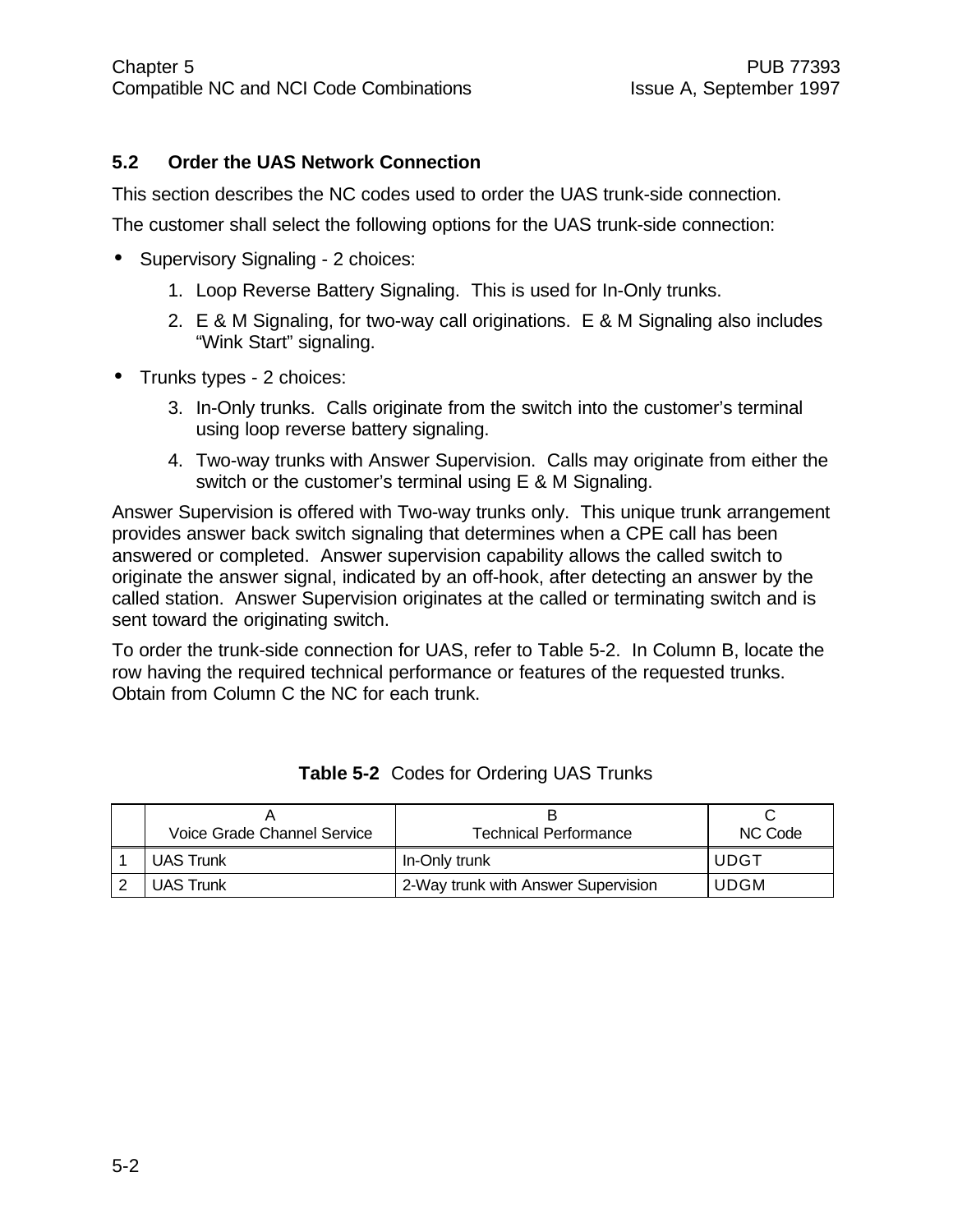#### **5.2 Order the UAS Network Connection**

This section describes the NC codes used to order the UAS trunk-side connection.

The customer shall select the following options for the UAS trunk-side connection:

- Supervisory Signaling 2 choices:
	- 1. Loop Reverse Battery Signaling. This is used for In-Only trunks.
	- 2. E & M Signaling, for two-way call originations. E & M Signaling also includes "Wink Start" signaling.
- Trunks types 2 choices:
	- 3. In-Only trunks. Calls originate from the switch into the customer's terminal using loop reverse battery signaling.
	- 4. Two-way trunks with Answer Supervision. Calls may originate from either the switch or the customer's terminal using E & M Signaling.

Answer Supervision is offered with Two-way trunks only. This unique trunk arrangement provides answer back switch signaling that determines when a CPE call has been answered or completed. Answer supervision capability allows the called switch to originate the answer signal, indicated by an off-hook, after detecting an answer by the called station. Answer Supervision originates at the called or terminating switch and is sent toward the originating switch.

To order the trunk-side connection for UAS, refer to Table 5-2. In Column B, locate the row having the required technical performance or features of the requested trunks. Obtain from Column C the NC for each trunk.

| Voice Grade Channel Service | Technical Performance               | NC Code     |
|-----------------------------|-------------------------------------|-------------|
| <b>UAS Trunk</b>            | In-Only trunk                       | <b>UDGT</b> |
| <b>UAS Trunk</b>            | 2-Way trunk with Answer Supervision | <b>UDGM</b> |

|  | Table 5-2 Codes for Ordering UAS Trunks |  |  |  |
|--|-----------------------------------------|--|--|--|
|--|-----------------------------------------|--|--|--|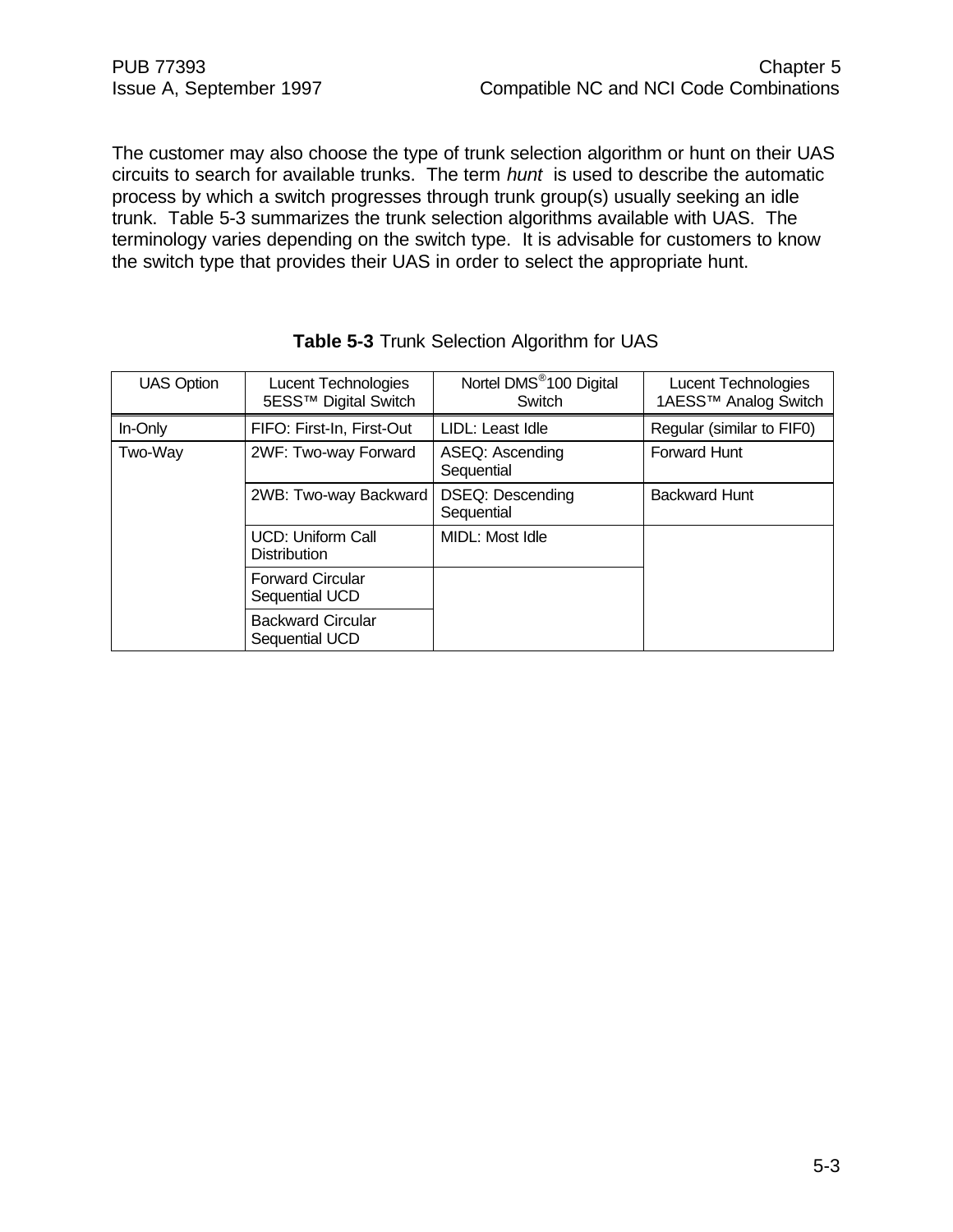The customer may also choose the type of trunk selection algorithm or hunt on their UAS circuits to search for available trunks. The term *hunt* is used to describe the automatic process by which a switch progresses through trunk group(s) usually seeking an idle trunk. Table 5-3 summarizes the trunk selection algorithms available with UAS. The terminology varies depending on the switch type. It is advisable for customers to know the switch type that provides their UAS in order to select the appropriate hunt.

| <b>UAS Option</b> | Lucent Technologies<br>5ESS™ Digital Switch | Nortel DMS <sup>®</sup> 100 Digital<br>Switch | Lucent Technologies<br>1AESS™ Analog Switch |
|-------------------|---------------------------------------------|-----------------------------------------------|---------------------------------------------|
| In-Only           | FIFO: First-In, First-Out                   | LIDL: Least Idle                              | Regular (similar to FIF0)                   |
| Two-Way           | 2WF: Two-way Forward                        | ASEQ: Ascending<br>Sequential                 | <b>Forward Hunt</b>                         |
|                   | 2WB: Two-way Backward                       | <b>DSEQ: Descending</b><br>Sequential         | <b>Backward Hunt</b>                        |
|                   | UCD: Uniform Call<br><b>Distribution</b>    | MIDL: Most Idle                               |                                             |
|                   | <b>Forward Circular</b><br>Sequential UCD   |                                               |                                             |
|                   | <b>Backward Circular</b><br>Sequential UCD  |                                               |                                             |

| <b>Table 5-3 Trunk Selection Algorithm for UAS</b> |  |
|----------------------------------------------------|--|
|----------------------------------------------------|--|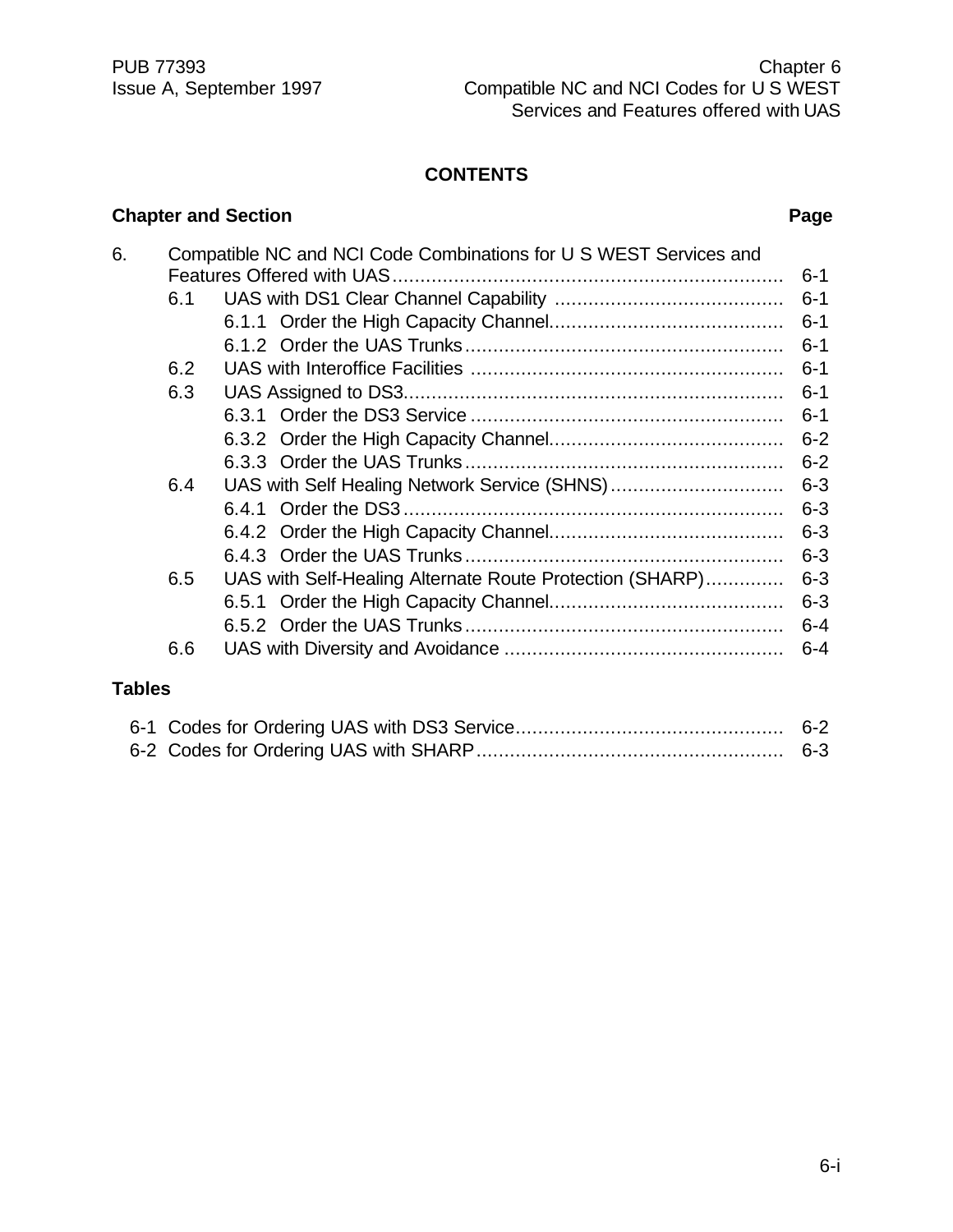#### **CONTENTS**

#### **Chapter and Section Page**

| 6. |     | Compatible NC and NCI Code Combinations for U S WEST Services and |         |
|----|-----|-------------------------------------------------------------------|---------|
|    |     |                                                                   | $6 - 1$ |
|    | 6.1 |                                                                   | $6 - 1$ |
|    |     |                                                                   | $6 - 1$ |
|    |     |                                                                   | $6 - 1$ |
|    | 6.2 |                                                                   | $6 - 1$ |
|    | 6.3 |                                                                   | $6 - 1$ |
|    |     |                                                                   | $6 - 1$ |
|    |     |                                                                   | $6 - 2$ |
|    |     |                                                                   | $6 - 2$ |
|    | 6.4 |                                                                   | $6 - 3$ |
|    |     |                                                                   | $6 - 3$ |
|    |     |                                                                   | $6 - 3$ |
|    |     |                                                                   | $6 - 3$ |
|    | 6.5 | UAS with Self-Healing Alternate Route Protection (SHARP)          | $6 - 3$ |
|    |     |                                                                   | $6 - 3$ |
|    |     |                                                                   | $6 - 4$ |
|    | 6.6 |                                                                   | $6 - 4$ |
|    |     |                                                                   |         |

#### **Tables**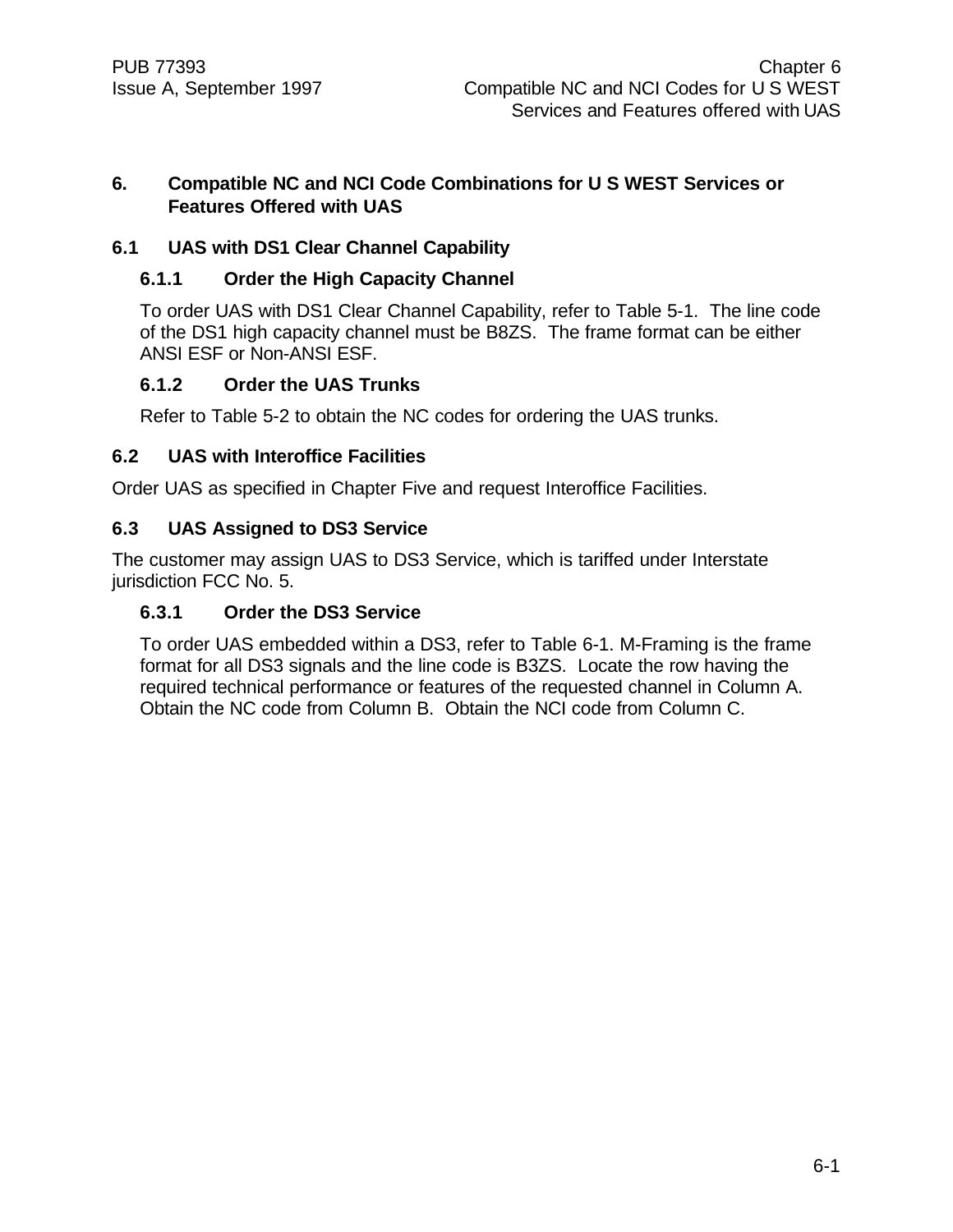#### **6. Compatible NC and NCI Code Combinations for U S WEST Services or Features Offered with UAS**

#### **6.1 UAS with DS1 Clear Channel Capability**

#### **6.1.1 Order the High Capacity Channel**

To order UAS with DS1 Clear Channel Capability, refer to Table 5-1. The line code of the DS1 high capacity channel must be B8ZS. The frame format can be either ANSI ESF or Non-ANSI ESF.

#### **6.1.2 Order the UAS Trunks**

Refer to Table 5-2 to obtain the NC codes for ordering the UAS trunks.

#### **6.2 UAS with Interoffice Facilities**

Order UAS as specified in Chapter Five and request Interoffice Facilities.

#### **6.3 UAS Assigned to DS3 Service**

The customer may assign UAS to DS3 Service, which is tariffed under Interstate jurisdiction FCC No. 5.

#### **6.3.1 Order the DS3 Service**

To order UAS embedded within a DS3, refer to Table 6-1. M-Framing is the frame format for all DS3 signals and the line code is B3ZS. Locate the row having the required technical performance or features of the requested channel in Column A. Obtain the NC code from Column B. Obtain the NCI code from Column C.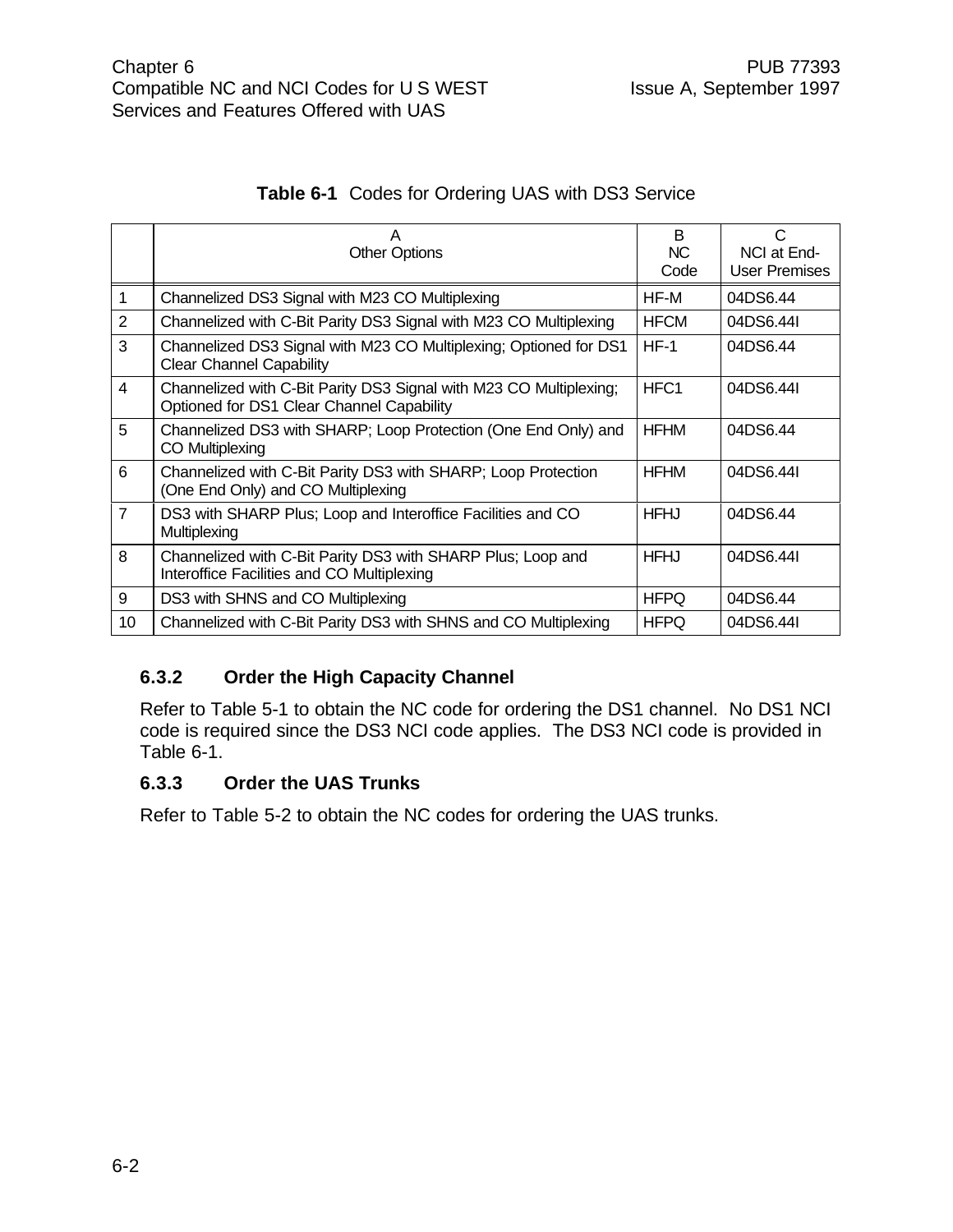| Table 6-1 Codes for Ordering UAS with DS3 Service |
|---------------------------------------------------|
|---------------------------------------------------|

|                | А<br><b>Other Options</b>                                                                                       | B<br>NC.<br>Code | C<br>NCI at End-<br><b>User Premises</b> |
|----------------|-----------------------------------------------------------------------------------------------------------------|------------------|------------------------------------------|
| 1              | Channelized DS3 Signal with M23 CO Multiplexing                                                                 | HF-M             | 04DS6.44                                 |
| 2              | Channelized with C-Bit Parity DS3 Signal with M23 CO Multiplexing                                               | <b>HFCM</b>      | 04DS6.44I                                |
| 3              | Channelized DS3 Signal with M23 CO Multiplexing; Optioned for DS1<br><b>Clear Channel Capability</b>            | $HF-1$           | 04DS6.44                                 |
| $\overline{4}$ | Channelized with C-Bit Parity DS3 Signal with M23 CO Multiplexing;<br>Optioned for DS1 Clear Channel Capability | HFC <sub>1</sub> | 04DS6.44I                                |
| 5              | Channelized DS3 with SHARP; Loop Protection (One End Only) and<br><b>CO Multiplexing</b>                        | <b>HFHM</b>      | 04DS6.44                                 |
| 6              | Channelized with C-Bit Parity DS3 with SHARP; Loop Protection<br>(One End Only) and CO Multiplexing             | HFHM             | 04DS6.44I                                |
| $\overline{7}$ | DS3 with SHARP Plus; Loop and Interoffice Facilities and CO<br>Multiplexing                                     | <b>HFHJ</b>      | 04DS6.44                                 |
| 8              | Channelized with C-Bit Parity DS3 with SHARP Plus; Loop and<br>Interoffice Facilities and CO Multiplexing       | <b>HFHJ</b>      | 04DS6.44I                                |
| 9              | DS3 with SHNS and CO Multiplexing                                                                               | <b>HFPQ</b>      | 04DS6.44                                 |
| 10             | Channelized with C-Bit Parity DS3 with SHNS and CO Multiplexing                                                 | <b>HFPQ</b>      | 04DS6.44I                                |

#### **6.3.2 Order the High Capacity Channel**

Refer to Table 5-1 to obtain the NC code for ordering the DS1 channel. No DS1 NCI code is required since the DS3 NCI code applies. The DS3 NCI code is provided in Table 6-1.

#### **6.3.3 Order the UAS Trunks**

Refer to Table 5-2 to obtain the NC codes for ordering the UAS trunks.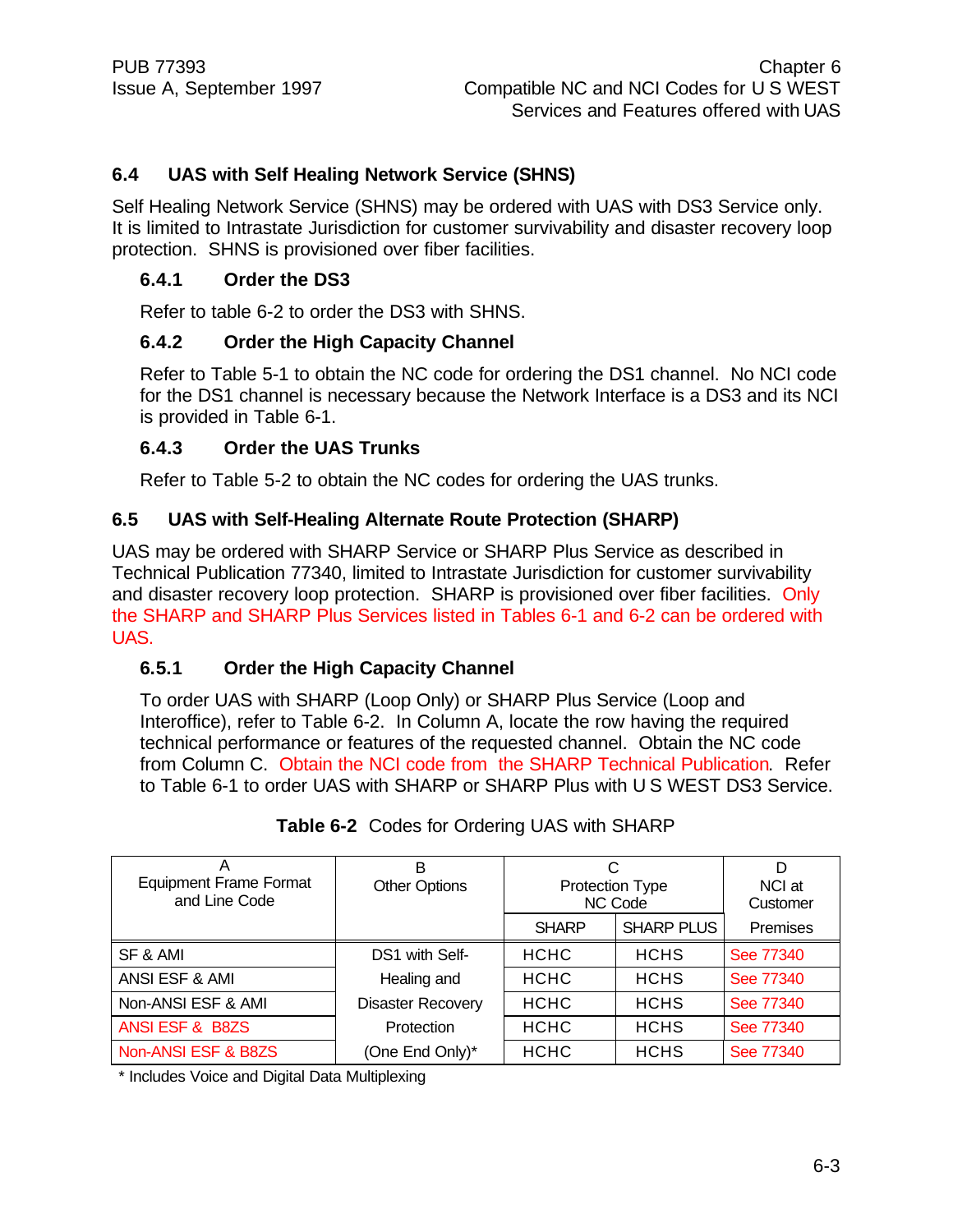#### **6.4 UAS with Self Healing Network Service (SHNS)**

Self Healing Network Service (SHNS) may be ordered with UAS with DS3 Service only. It is limited to Intrastate Jurisdiction for customer survivability and disaster recovery loop protection. SHNS is provisioned over fiber facilities.

#### **6.4.1 Order the DS3**

Refer to table 6-2 to order the DS3 with SHNS.

#### **6.4.2 Order the High Capacity Channel**

Refer to Table 5-1 to obtain the NC code for ordering the DS1 channel. No NCI code for the DS1 channel is necessary because the Network Interface is a DS3 and its NCI is provided in Table 6-1.

#### **6.4.3 Order the UAS Trunks**

Refer to Table 5-2 to obtain the NC codes for ordering the UAS trunks.

#### **6.5 UAS with Self-Healing Alternate Route Protection (SHARP)**

UAS may be ordered with SHARP Service or SHARP Plus Service as described in Technical Publication 77340, limited to Intrastate Jurisdiction for customer survivability and disaster recovery loop protection. SHARP is provisioned over fiber facilities. Only the SHARP and SHARP Plus Services listed in Tables 6-1 and 6-2 can be ordered with UAS.

#### **6.5.1 Order the High Capacity Channel**

To order UAS with SHARP (Loop Only) or SHARP Plus Service (Loop and Interoffice), refer to Table 6-2. In Column A, locate the row having the required technical performance or features of the requested channel. Obtain the NC code from Column C. Obtain the NCI code from the SHARP Technical Publication. Refer to Table 6-1 to order UAS with SHARP or SHARP Plus with U S WEST DS3 Service.

| <b>Equipment Frame Format</b><br>and Line Code | В<br><b>Other Options</b> | <b>Protection Type</b><br>NC Code |                   | D<br>NCI at<br>Customer |
|------------------------------------------------|---------------------------|-----------------------------------|-------------------|-------------------------|
|                                                |                           | <b>SHARP</b>                      | <b>SHARP PLUS</b> | Premises                |
| SF & AMI                                       | DS1 with Self-            | <b>HCHC</b>                       | <b>HCHS</b>       | See 77340               |
| ANSI ESF & AMI                                 | Healing and               | <b>HCHC</b>                       | <b>HCHS</b>       | See 77340               |
| Non-ANSI ESF & AMI                             | <b>Disaster Recovery</b>  | <b>HCHC</b>                       | <b>HCHS</b>       | See 77340               |
| ANSI ESF & B8ZS                                | Protection                | <b>HCHC</b>                       | <b>HCHS</b>       | See 77340               |
| Non-ANSI ESF & B8ZS                            | (One End Only)*           | <b>HCHC</b>                       | <b>HCHS</b>       | See 77340               |

**Table 6-2** Codes for Ordering UAS with SHARP

\* Includes Voice and Digital Data Multiplexing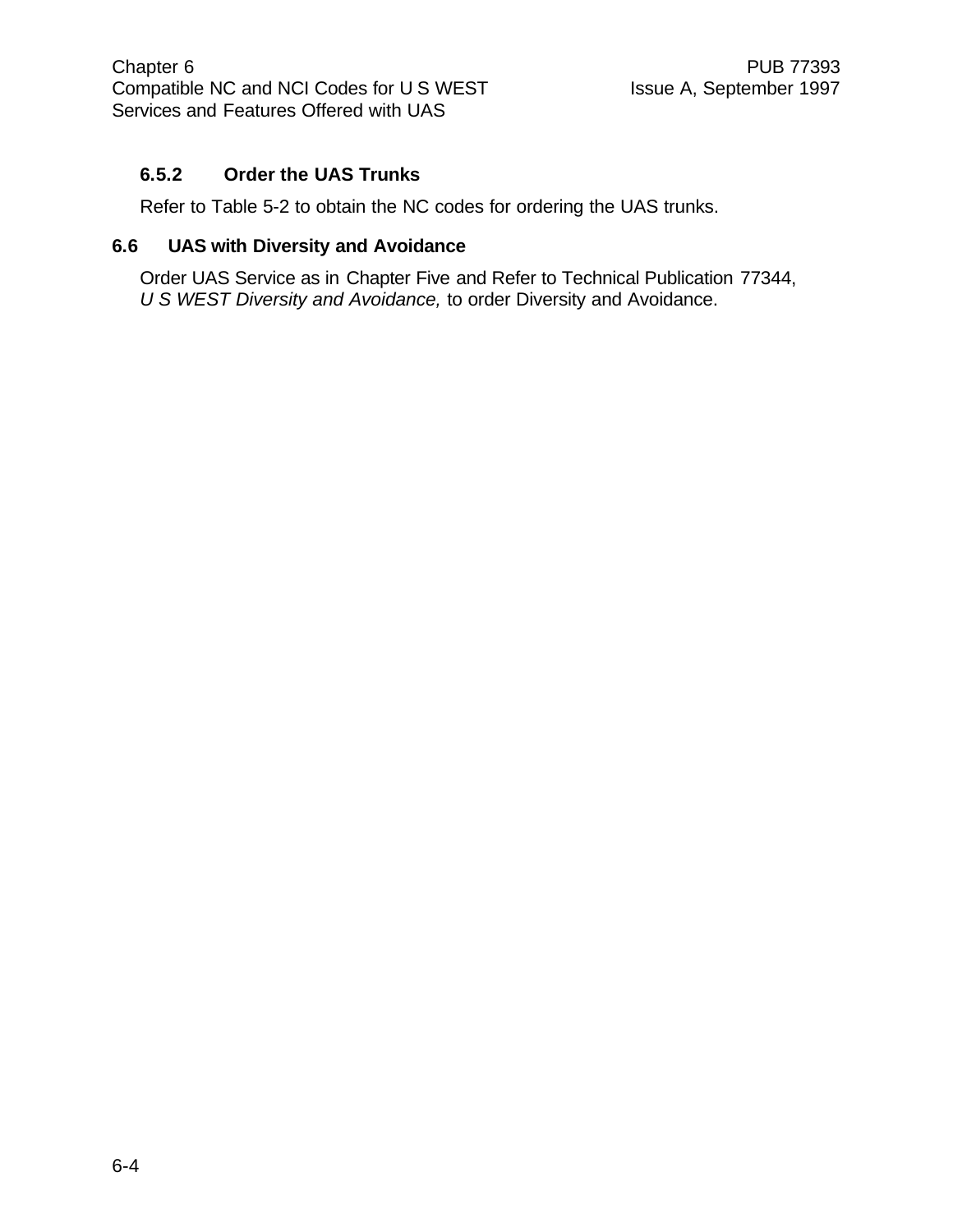#### **6.5.2 Order the UAS Trunks**

Refer to Table 5-2 to obtain the NC codes for ordering the UAS trunks.

#### **6.6 UAS with Diversity and Avoidance**

Order UAS Service as in Chapter Five and Refer to Technical Publication 77344, *U S WEST Diversity and Avoidance,* to order Diversity and Avoidance.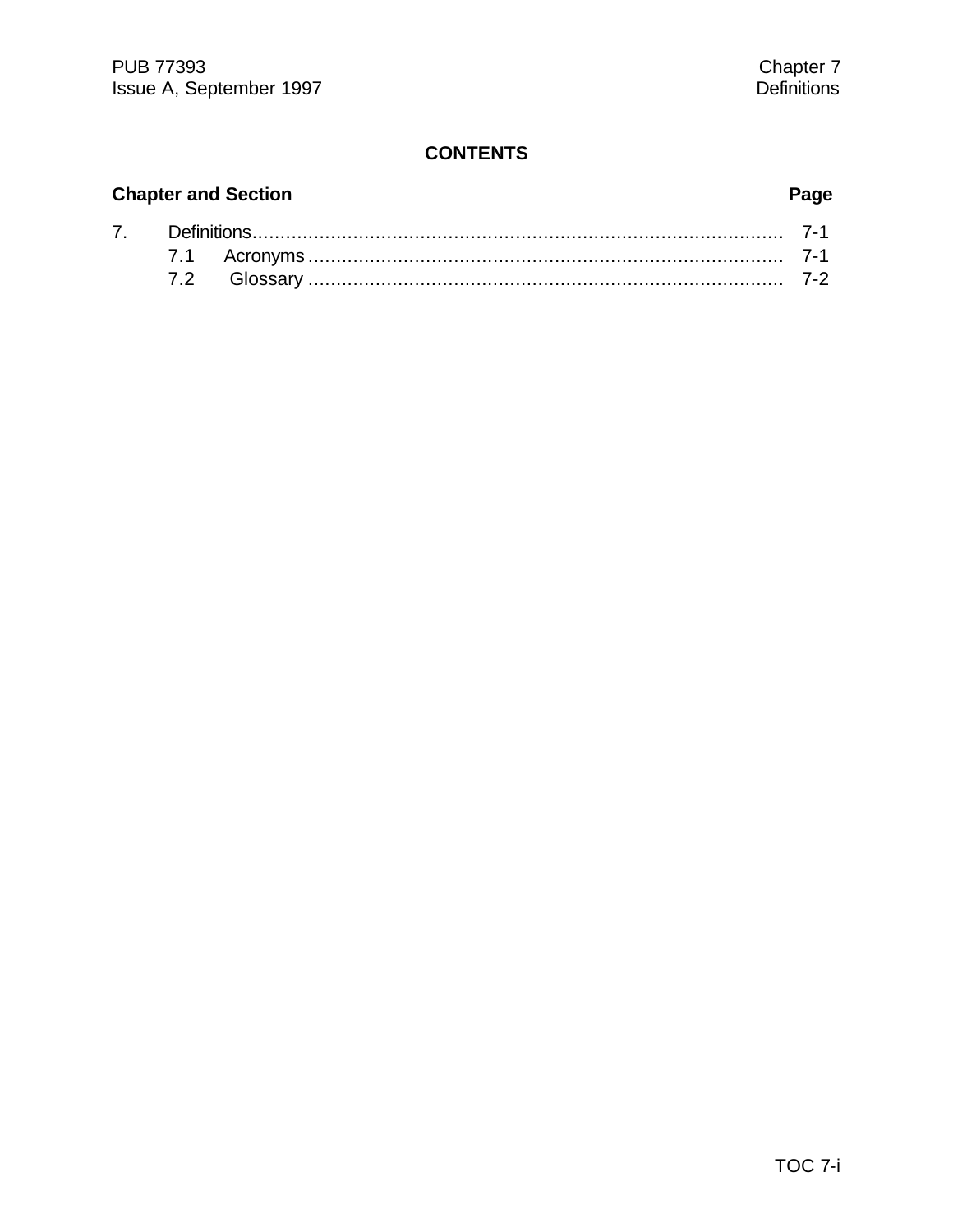#### **CONTENTS**

# **Chapter and Section Page**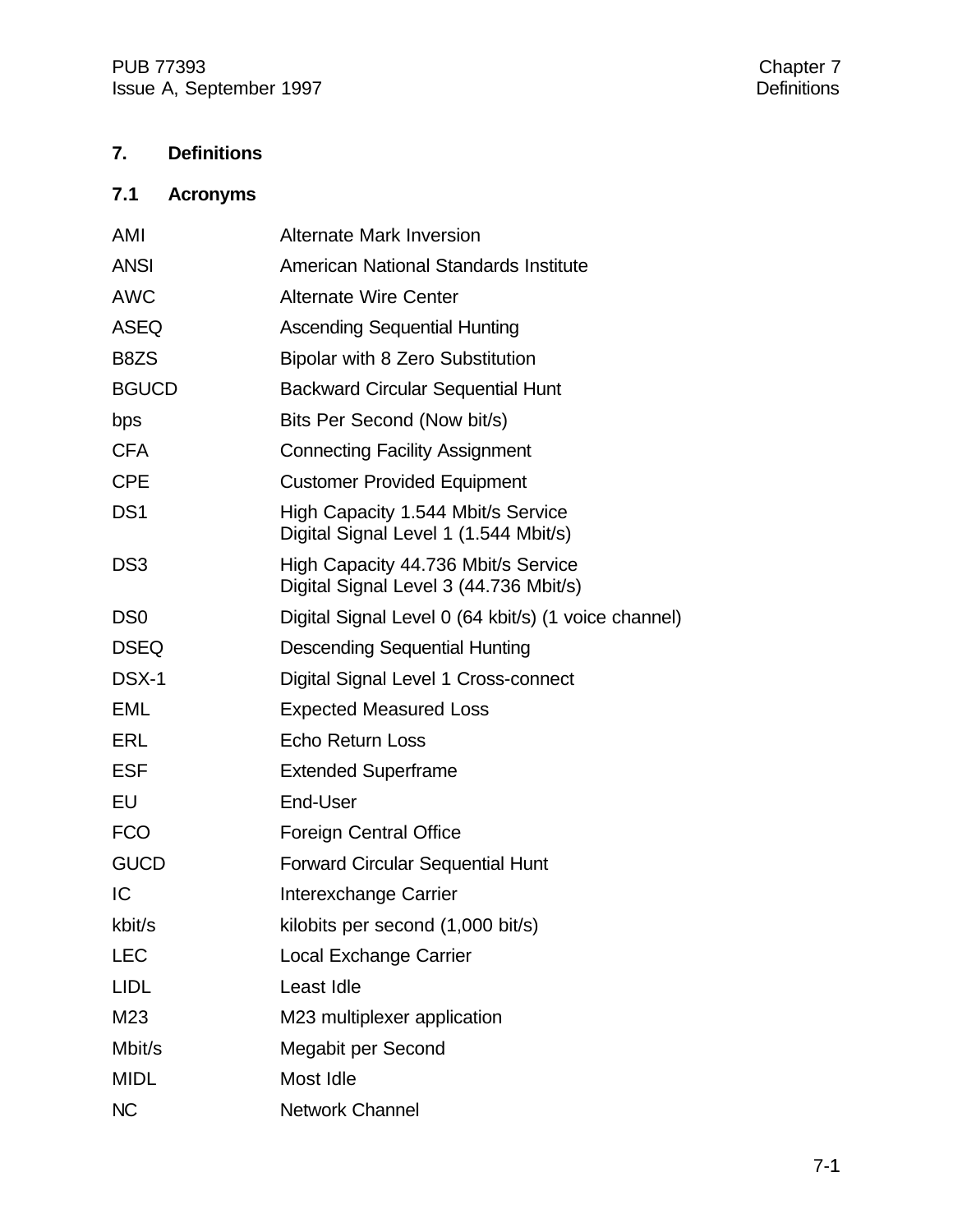## **7. Definitions**

## **7.1 Acronyms**

| AMI             | <b>Alternate Mark Inversion</b>                                               |
|-----------------|-------------------------------------------------------------------------------|
| <b>ANSI</b>     | American National Standards Institute                                         |
| <b>AWC</b>      | <b>Alternate Wire Center</b>                                                  |
| <b>ASEQ</b>     | <b>Ascending Sequential Hunting</b>                                           |
| B8ZS            | <b>Bipolar with 8 Zero Substitution</b>                                       |
| <b>BGUCD</b>    | <b>Backward Circular Sequential Hunt</b>                                      |
| bps             | Bits Per Second (Now bit/s)                                                   |
| <b>CFA</b>      | <b>Connecting Facility Assignment</b>                                         |
| <b>CPE</b>      | <b>Customer Provided Equipment</b>                                            |
| DS <sub>1</sub> | High Capacity 1.544 Mbit/s Service<br>Digital Signal Level 1 (1.544 Mbit/s)   |
| DS <sub>3</sub> | High Capacity 44.736 Mbit/s Service<br>Digital Signal Level 3 (44.736 Mbit/s) |
| D <sub>S0</sub> | Digital Signal Level 0 (64 kbit/s) (1 voice channel)                          |
| <b>DSEQ</b>     | <b>Descending Sequential Hunting</b>                                          |
| DSX-1           | Digital Signal Level 1 Cross-connect                                          |
| <b>EML</b>      | <b>Expected Measured Loss</b>                                                 |
| ERL             | Echo Return Loss                                                              |
| <b>ESF</b>      | <b>Extended Superframe</b>                                                    |
| EU              | End-User                                                                      |
| <b>FCO</b>      | <b>Foreign Central Office</b>                                                 |
| <b>GUCD</b>     | <b>Forward Circular Sequential Hunt</b>                                       |
| IC              | Interexchange Carrier                                                         |
| kbit/s          | kilobits per second (1,000 bit/s)                                             |
| <b>LEC</b>      | <b>Local Exchange Carrier</b>                                                 |
| <b>LIDL</b>     | Least Idle                                                                    |
| M23             | M23 multiplexer application                                                   |
| Mbit/s          | Megabit per Second                                                            |
| <b>MIDL</b>     | Most Idle                                                                     |
| <b>NC</b>       | <b>Network Channel</b>                                                        |
|                 |                                                                               |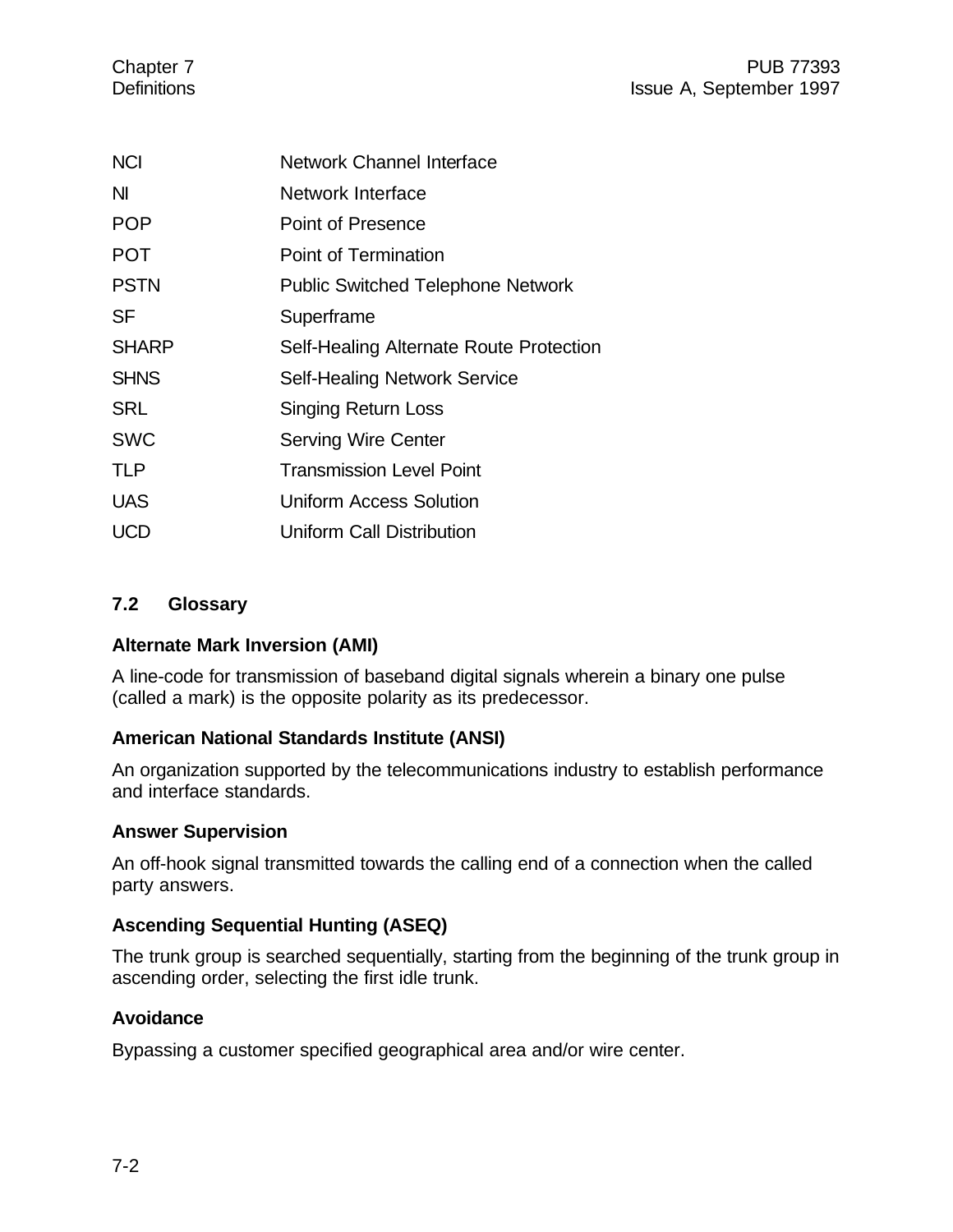| <b>NCI</b>   | Network Channel Interface                |
|--------------|------------------------------------------|
| ΝI           | Network Interface                        |
| <b>POP</b>   | Point of Presence                        |
| <b>POT</b>   | Point of Termination                     |
| <b>PSTN</b>  | <b>Public Switched Telephone Network</b> |
| SF           | Superframe                               |
| <b>SHARP</b> | Self-Healing Alternate Route Protection  |
| <b>SHNS</b>  | <b>Self-Healing Network Service</b>      |
| <b>SRL</b>   | <b>Singing Return Loss</b>               |
| <b>SWC</b>   | <b>Serving Wire Center</b>               |
| <b>TLP</b>   | <b>Transmission Level Point</b>          |
| <b>UAS</b>   | <b>Uniform Access Solution</b>           |
| UCD          | <b>Uniform Call Distribution</b>         |

#### **7.2 Glossary**

#### **Alternate Mark Inversion (AMI)**

A line-code for transmission of baseband digital signals wherein a binary one pulse (called a mark) is the opposite polarity as its predecessor.

#### **American National Standards Institute (ANSI)**

An organization supported by the telecommunications industry to establish performance and interface standards.

#### **Answer Supervision**

An off-hook signal transmitted towards the calling end of a connection when the called party answers.

#### **Ascending Sequential Hunting (ASEQ)**

The trunk group is searched sequentially, starting from the beginning of the trunk group in ascending order, selecting the first idle trunk.

#### **Avoidance**

Bypassing a customer specified geographical area and/or wire center.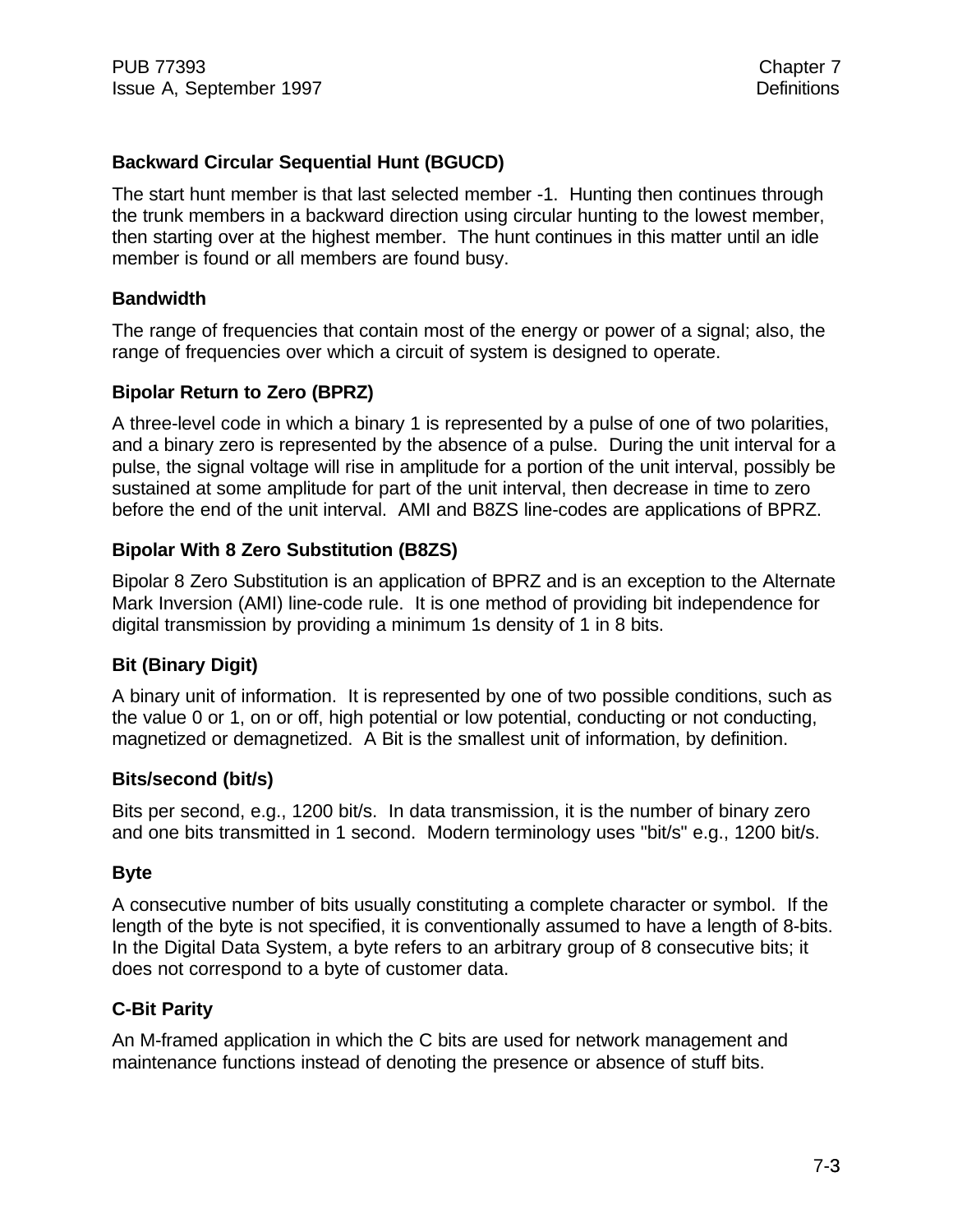#### **Backward Circular Sequential Hunt (BGUCD)**

The start hunt member is that last selected member -1. Hunting then continues through the trunk members in a backward direction using circular hunting to the lowest member, then starting over at the highest member. The hunt continues in this matter until an idle member is found or all members are found busy.

#### **Bandwidth**

The range of frequencies that contain most of the energy or power of a signal; also, the range of frequencies over which a circuit of system is designed to operate.

#### **Bipolar Return to Zero (BPRZ)**

A three-level code in which a binary 1 is represented by a pulse of one of two polarities, and a binary zero is represented by the absence of a pulse. During the unit interval for a pulse, the signal voltage will rise in amplitude for a portion of the unit interval, possibly be sustained at some amplitude for part of the unit interval, then decrease in time to zero before the end of the unit interval. AMI and B8ZS line-codes are applications of BPRZ.

#### **Bipolar With 8 Zero Substitution (B8ZS)**

Bipolar 8 Zero Substitution is an application of BPRZ and is an exception to the Alternate Mark Inversion (AMI) line-code rule. It is one method of providing bit independence for digital transmission by providing a minimum 1s density of 1 in 8 bits.

#### **Bit (Binary Digit)**

A binary unit of information. It is represented by one of two possible conditions, such as the value 0 or 1, on or off, high potential or low potential, conducting or not conducting, magnetized or demagnetized. A Bit is the smallest unit of information, by definition.

#### **Bits/second (bit/s)**

Bits per second, e.g., 1200 bit/s. In data transmission, it is the number of binary zero and one bits transmitted in 1 second. Modern terminology uses "bit/s" e.g., 1200 bit/s.

#### **Byte**

A consecutive number of bits usually constituting a complete character or symbol. If the length of the byte is not specified, it is conventionally assumed to have a length of 8-bits. In the Digital Data System, a byte refers to an arbitrary group of 8 consecutive bits; it does not correspond to a byte of customer data.

#### **C-Bit Parity**

An M-framed application in which the C bits are used for network management and maintenance functions instead of denoting the presence or absence of stuff bits.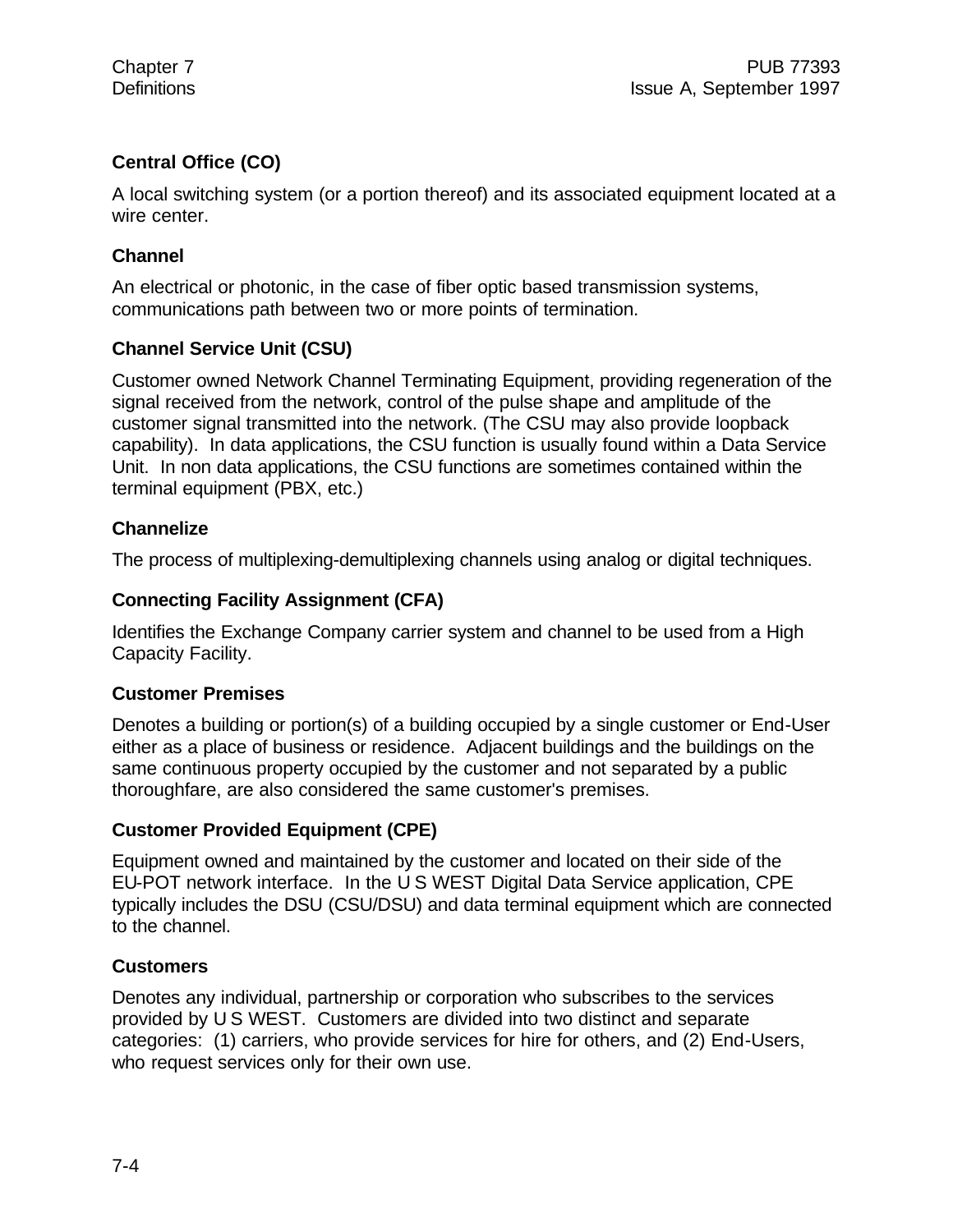#### **Central Office (CO)**

A local switching system (or a portion thereof) and its associated equipment located at a wire center.

#### **Channel**

An electrical or photonic, in the case of fiber optic based transmission systems, communications path between two or more points of termination.

#### **Channel Service Unit (CSU)**

Customer owned Network Channel Terminating Equipment, providing regeneration of the signal received from the network, control of the pulse shape and amplitude of the customer signal transmitted into the network. (The CSU may also provide loopback capability). In data applications, the CSU function is usually found within a Data Service Unit. In non data applications, the CSU functions are sometimes contained within the terminal equipment (PBX, etc.)

#### **Channelize**

The process of multiplexing-demultiplexing channels using analog or digital techniques.

#### **Connecting Facility Assignment (CFA)**

Identifies the Exchange Company carrier system and channel to be used from a High Capacity Facility.

#### **Customer Premises**

Denotes a building or portion(s) of a building occupied by a single customer or End-User either as a place of business or residence. Adjacent buildings and the buildings on the same continuous property occupied by the customer and not separated by a public thoroughfare, are also considered the same customer's premises.

#### **Customer Provided Equipment (CPE)**

Equipment owned and maintained by the customer and located on their side of the EU-POT network interface. In the U S WEST Digital Data Service application, CPE typically includes the DSU (CSU/DSU) and data terminal equipment which are connected to the channel.

#### **Customers**

Denotes any individual, partnership or corporation who subscribes to the services provided by U S WEST. Customers are divided into two distinct and separate categories: (1) carriers, who provide services for hire for others, and (2) End-Users, who request services only for their own use.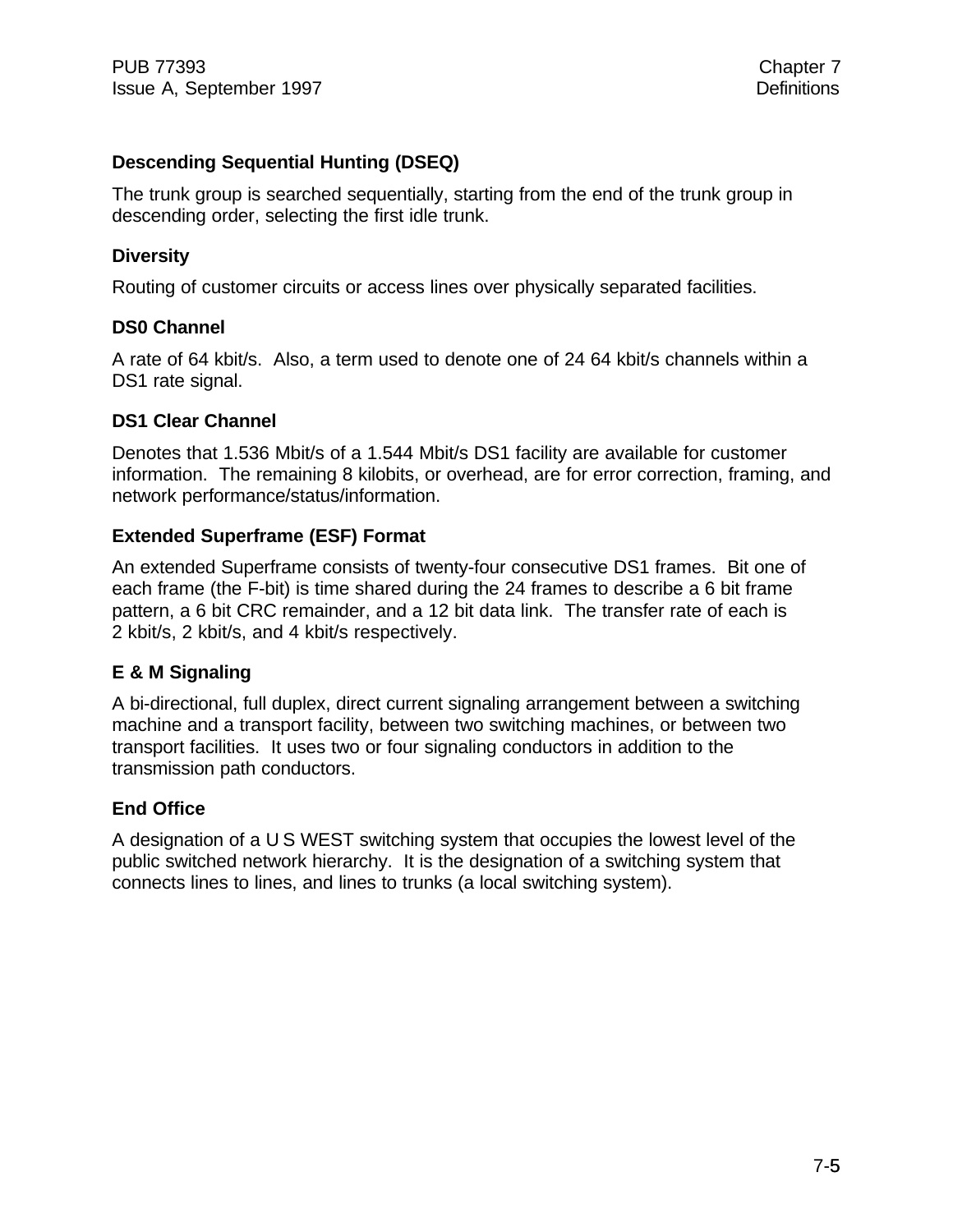#### **Descending Sequential Hunting (DSEQ)**

The trunk group is searched sequentially, starting from the end of the trunk group in descending order, selecting the first idle trunk.

#### **Diversity**

Routing of customer circuits or access lines over physically separated facilities.

#### **DS0 Channel**

A rate of 64 kbit/s. Also, a term used to denote one of 24 64 kbit/s channels within a DS1 rate signal.

#### **DS1 Clear Channel**

Denotes that 1.536 Mbit/s of a 1.544 Mbit/s DS1 facility are available for customer information. The remaining 8 kilobits, or overhead, are for error correction, framing, and network performance/status/information.

#### **Extended Superframe (ESF) Format**

An extended Superframe consists of twenty-four consecutive DS1 frames. Bit one of each frame (the F-bit) is time shared during the 24 frames to describe a 6 bit frame pattern, a 6 bit CRC remainder, and a 12 bit data link. The transfer rate of each is 2 kbit/s, 2 kbit/s, and 4 kbit/s respectively.

#### **E & M Signaling**

A bi-directional, full duplex, direct current signaling arrangement between a switching machine and a transport facility, between two switching machines, or between two transport facilities. It uses two or four signaling conductors in addition to the transmission path conductors.

#### **End Office**

A designation of a U S WEST switching system that occupies the lowest level of the public switched network hierarchy. It is the designation of a switching system that connects lines to lines, and lines to trunks (a local switching system).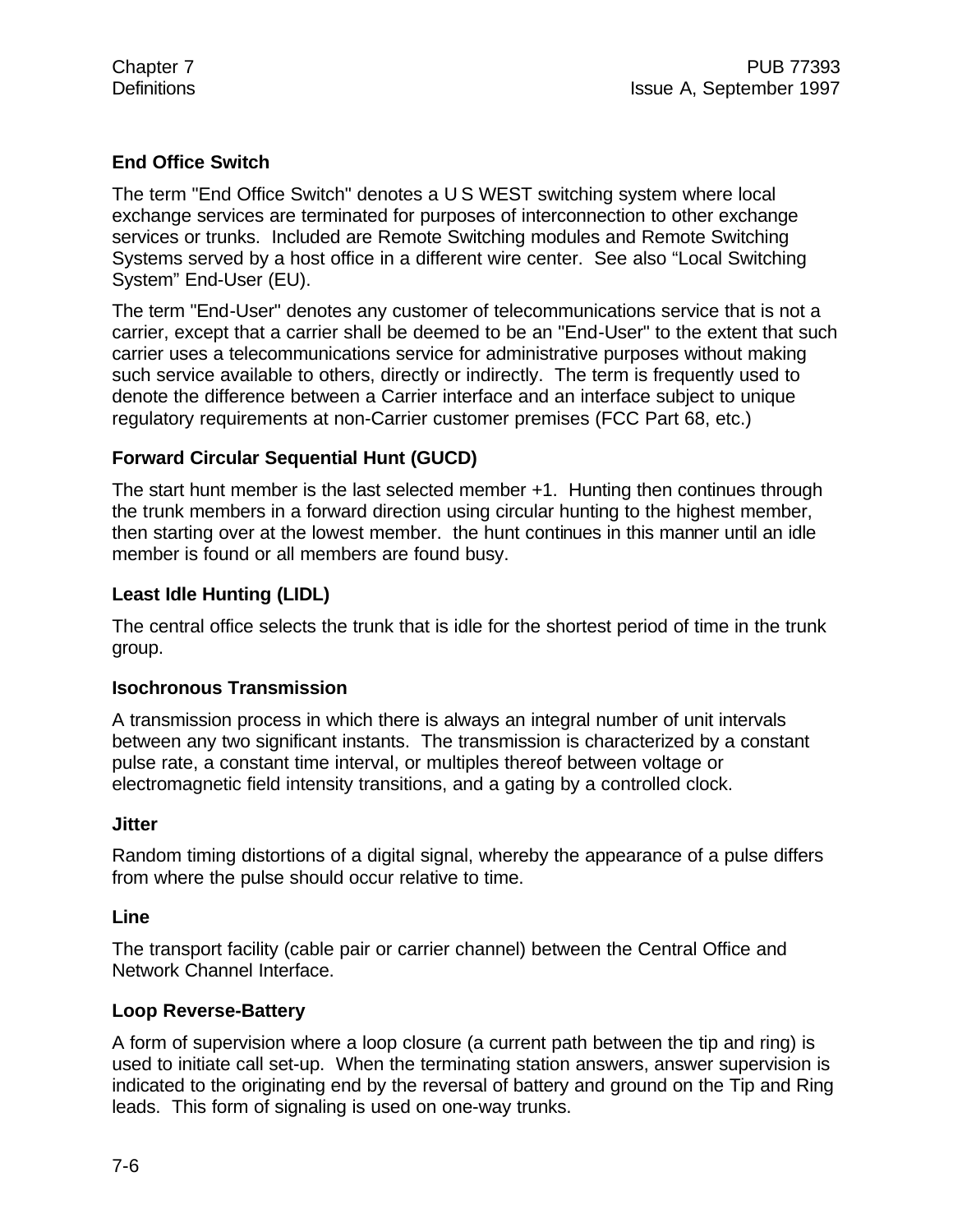#### **End Office Switch**

The term "End Office Switch" denotes a U S WEST switching system where local exchange services are terminated for purposes of interconnection to other exchange services or trunks. Included are Remote Switching modules and Remote Switching Systems served by a host office in a different wire center. See also "Local Switching System" End-User (EU).

The term "End-User" denotes any customer of telecommunications service that is not a carrier, except that a carrier shall be deemed to be an "End-User" to the extent that such carrier uses a telecommunications service for administrative purposes without making such service available to others, directly or indirectly. The term is frequently used to denote the difference between a Carrier interface and an interface subject to unique regulatory requirements at non-Carrier customer premises (FCC Part 68, etc.)

#### **Forward Circular Sequential Hunt (GUCD)**

The start hunt member is the last selected member +1. Hunting then continues through the trunk members in a forward direction using circular hunting to the highest member, then starting over at the lowest member. the hunt continues in this manner until an idle member is found or all members are found busy.

#### **Least Idle Hunting (LIDL)**

The central office selects the trunk that is idle for the shortest period of time in the trunk group.

#### **Isochronous Transmission**

A transmission process in which there is always an integral number of unit intervals between any two significant instants. The transmission is characterized by a constant pulse rate, a constant time interval, or multiples thereof between voltage or electromagnetic field intensity transitions, and a gating by a controlled clock.

#### **Jitter**

Random timing distortions of a digital signal, whereby the appearance of a pulse differs from where the pulse should occur relative to time.

#### **Line**

The transport facility (cable pair or carrier channel) between the Central Office and Network Channel Interface.

#### **Loop Reverse-Battery**

A form of supervision where a loop closure (a current path between the tip and ring) is used to initiate call set-up. When the terminating station answers, answer supervision is indicated to the originating end by the reversal of battery and ground on the Tip and Ring leads. This form of signaling is used on one-way trunks.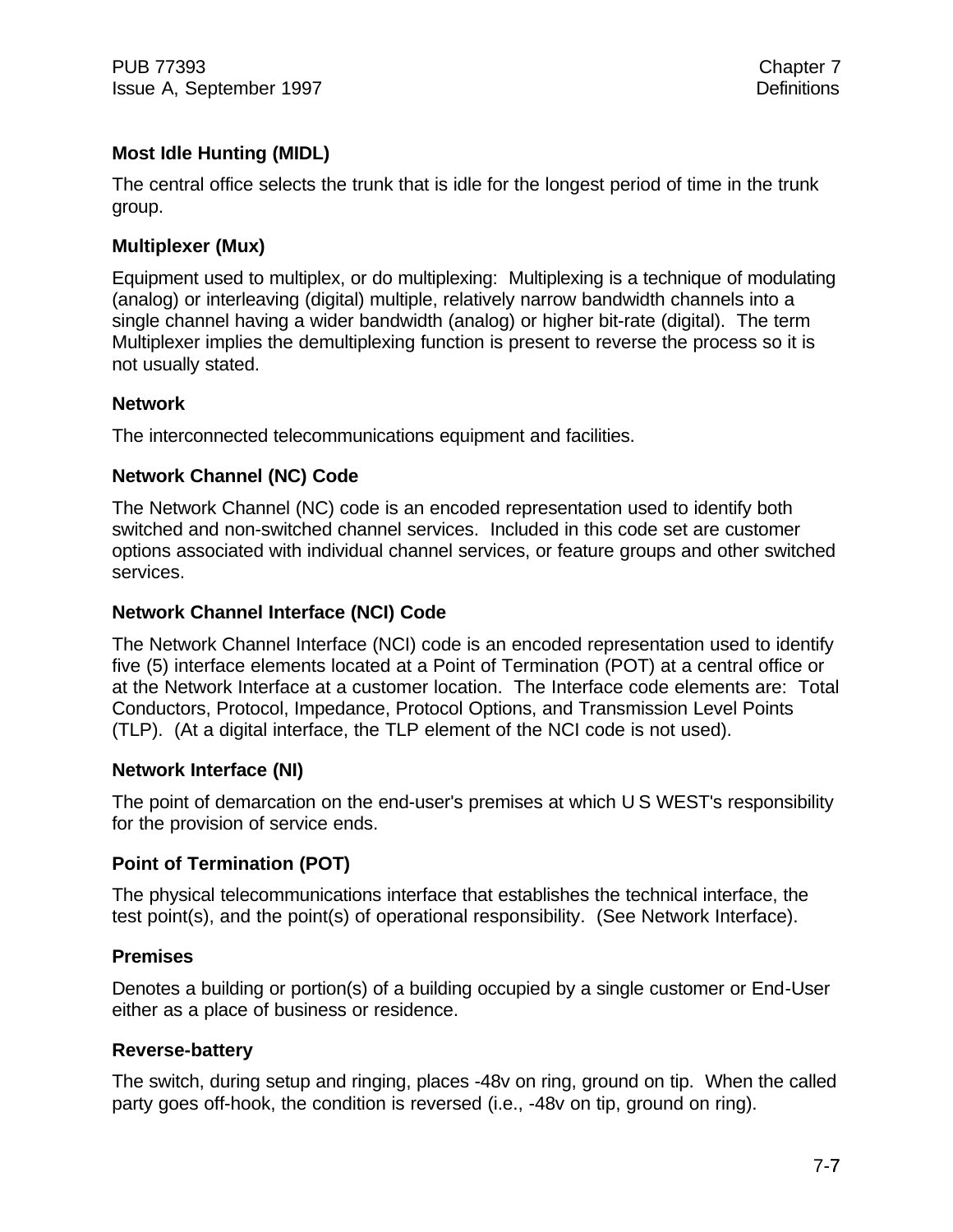PUB 77393 Chapter 7 **Issue A, September 1997** Definitions

#### **Most Idle Hunting (MIDL)**

The central office selects the trunk that is idle for the longest period of time in the trunk group.

#### **Multiplexer (Mux)**

Equipment used to multiplex, or do multiplexing: Multiplexing is a technique of modulating (analog) or interleaving (digital) multiple, relatively narrow bandwidth channels into a single channel having a wider bandwidth (analog) or higher bit-rate (digital). The term Multiplexer implies the demultiplexing function is present to reverse the process so it is not usually stated.

#### **Network**

The interconnected telecommunications equipment and facilities.

#### **Network Channel (NC) Code**

The Network Channel (NC) code is an encoded representation used to identify both switched and non-switched channel services. Included in this code set are customer options associated with individual channel services, or feature groups and other switched services.

#### **Network Channel Interface (NCI) Code**

The Network Channel Interface (NCI) code is an encoded representation used to identify five (5) interface elements located at a Point of Termination (POT) at a central office or at the Network Interface at a customer location. The Interface code elements are: Total Conductors, Protocol, Impedance, Protocol Options, and Transmission Level Points (TLP). (At a digital interface, the TLP element of the NCI code is not used).

#### **Network Interface (NI)**

The point of demarcation on the end-user's premises at which U S WEST's responsibility for the provision of service ends.

#### **Point of Termination (POT)**

The physical telecommunications interface that establishes the technical interface, the test point(s), and the point(s) of operational responsibility. (See Network Interface).

#### **Premises**

Denotes a building or portion(s) of a building occupied by a single customer or End-User either as a place of business or residence.

#### **Reverse-battery**

The switch, during setup and ringing, places -48v on ring, ground on tip. When the called party goes off-hook, the condition is reversed (i.e., -48v on tip, ground on ring).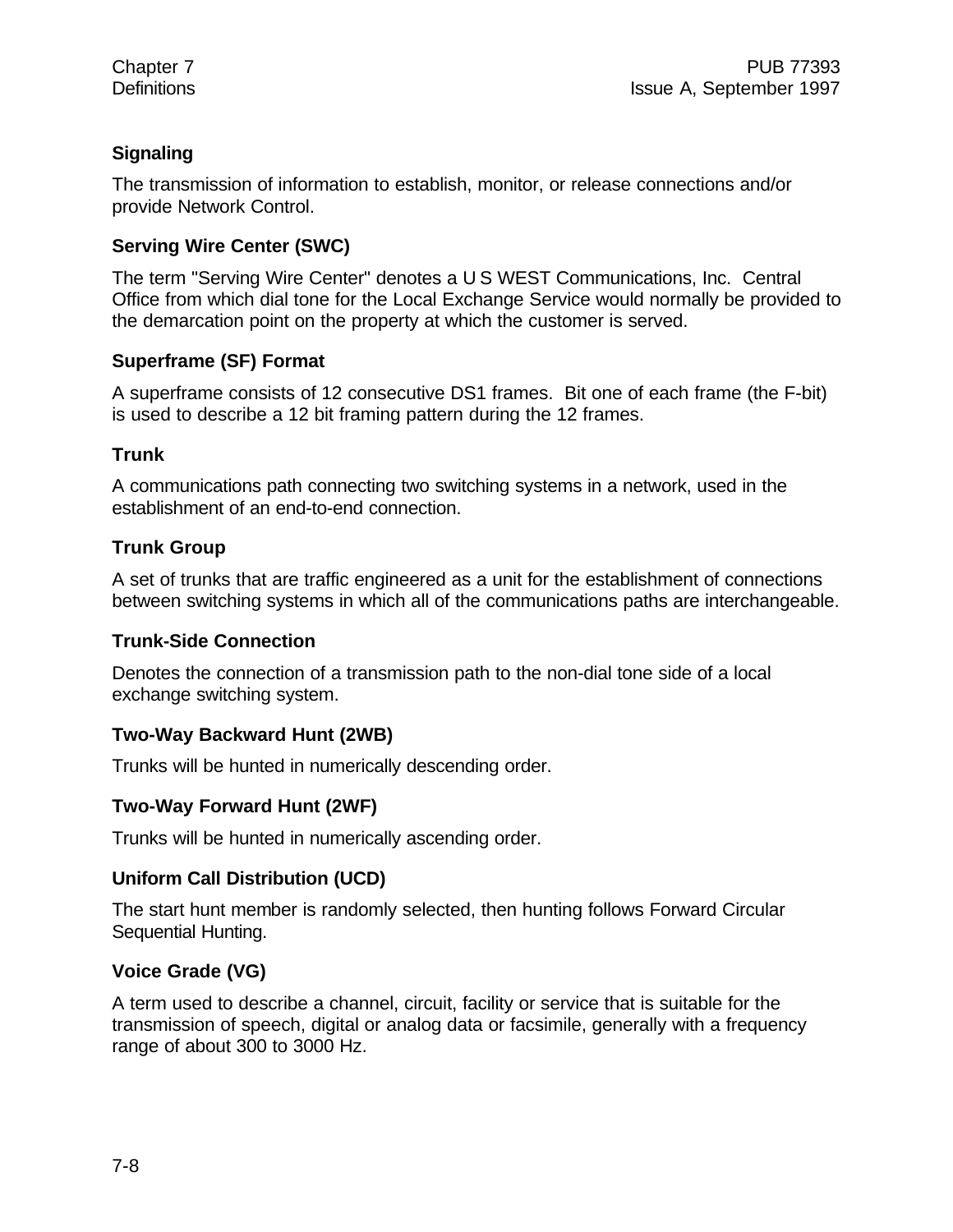#### **Signaling**

The transmission of information to establish, monitor, or release connections and/or provide Network Control.

#### **Serving Wire Center (SWC)**

The term "Serving Wire Center" denotes a U S WEST Communications, Inc. Central Office from which dial tone for the Local Exchange Service would normally be provided to the demarcation point on the property at which the customer is served.

#### **Superframe (SF) Format**

A superframe consists of 12 consecutive DS1 frames. Bit one of each frame (the F-bit) is used to describe a 12 bit framing pattern during the 12 frames.

#### **Trunk**

A communications path connecting two switching systems in a network, used in the establishment of an end-to-end connection.

#### **Trunk Group**

A set of trunks that are traffic engineered as a unit for the establishment of connections between switching systems in which all of the communications paths are interchangeable.

#### **Trunk-Side Connection**

Denotes the connection of a transmission path to the non-dial tone side of a local exchange switching system.

### **Two-Way Backward Hunt (2WB)**

Trunks will be hunted in numerically descending order.

#### **Two-Way Forward Hunt (2WF)**

Trunks will be hunted in numerically ascending order.

#### **Uniform Call Distribution (UCD)**

The start hunt member is randomly selected, then hunting follows Forward Circular Sequential Hunting.

### **Voice Grade (VG)**

A term used to describe a channel, circuit, facility or service that is suitable for the transmission of speech, digital or analog data or facsimile, generally with a frequency range of about 300 to 3000 Hz.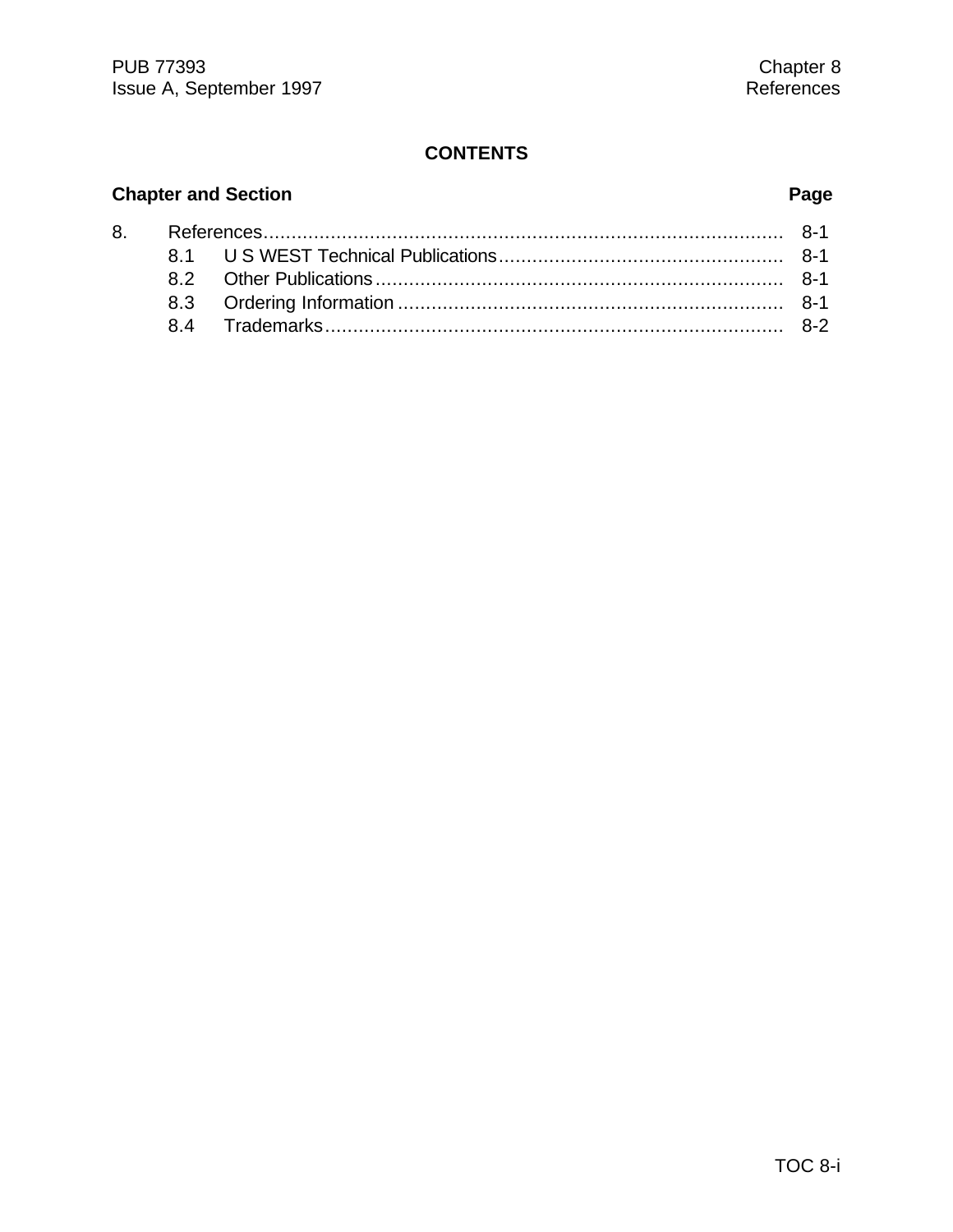#### **CONTENTS**

# **Chapter and Section Page**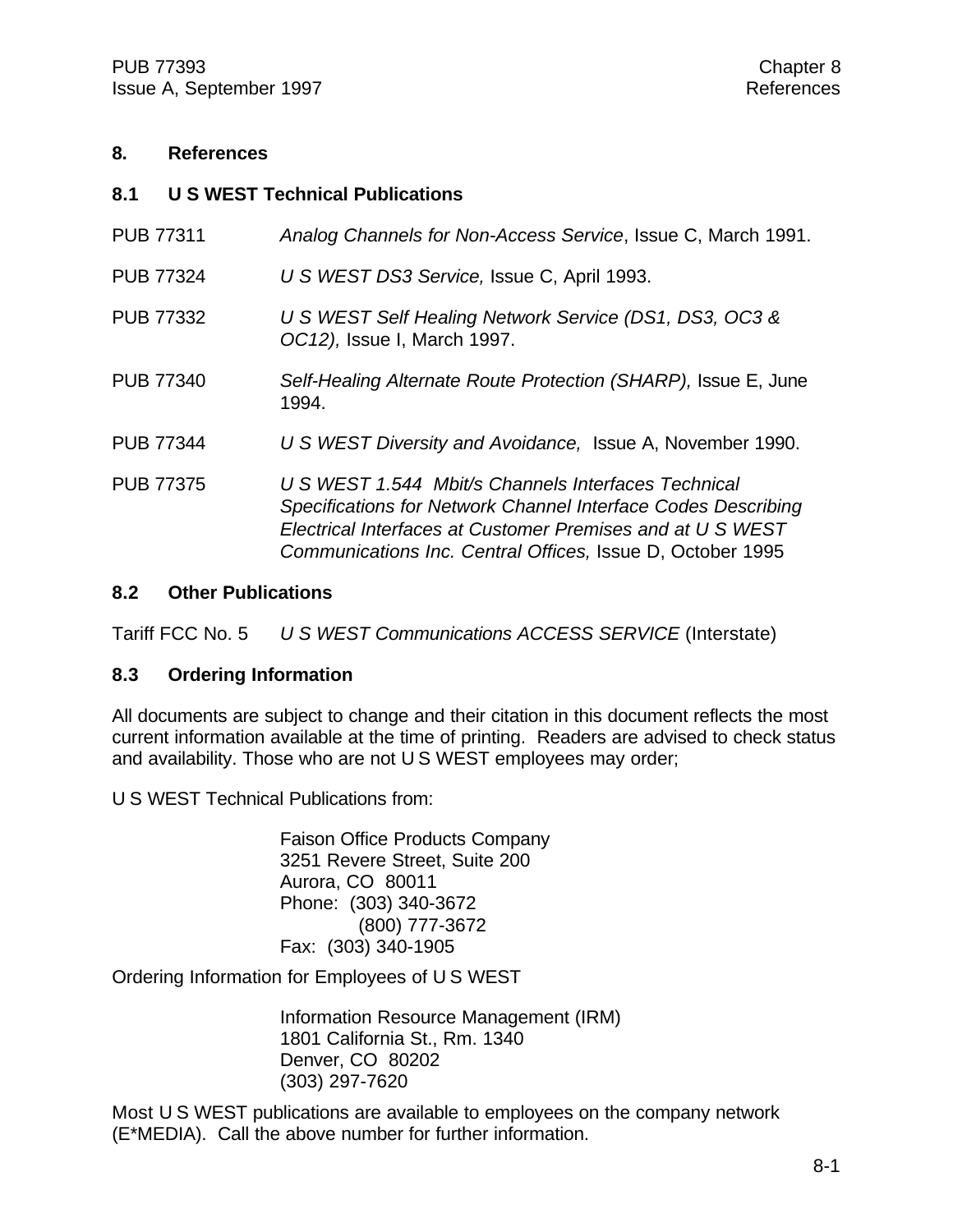#### **8. References**

#### **8.1 U S WEST Technical Publications**

| <b>PUB 77311</b> | Analog Channels for Non-Access Service, Issue C, March 1991.                                                                                                                                                                                     |
|------------------|--------------------------------------------------------------------------------------------------------------------------------------------------------------------------------------------------------------------------------------------------|
| <b>PUB 77324</b> | U S WEST DS3 Service, Issue C, April 1993.                                                                                                                                                                                                       |
| <b>PUB 77332</b> | U S WEST Self Healing Network Service (DS1, DS3, OC3 &<br>OC12), Issue I, March 1997.                                                                                                                                                            |
| <b>PUB 77340</b> | Self-Healing Alternate Route Protection (SHARP), Issue E, June<br>1994.                                                                                                                                                                          |
| <b>PUB 77344</b> | U S WEST Diversity and Avoidance, Issue A, November 1990.                                                                                                                                                                                        |
| <b>PUB 77375</b> | U S WEST 1.544 Mbit/s Channels Interfaces Technical<br>Specifications for Network Channel Interface Codes Describing<br>Electrical Interfaces at Customer Premises and at U S WEST<br>Communications Inc. Central Offices, Issue D, October 1995 |

#### **8.2 Other Publications**

Tariff FCC No. 5 *U S WEST Communications ACCESS SERVICE* (Interstate)

#### **8.3 Ordering Information**

All documents are subject to change and their citation in this document reflects the most current information available at the time of printing. Readers are advised to check status and availability. Those who are not U S WEST employees may order;

U S WEST Technical Publications from:

Faison Office Products Company 3251 Revere Street, Suite 200 Aurora, CO 80011 Phone: (303) 340-3672 (800) 777-3672 Fax: (303) 340-1905

Ordering Information for Employees of U S WEST

Information Resource Management (IRM) 1801 California St., Rm. 1340 Denver, CO 80202 (303) 297-7620

Most U S WEST publications are available to employees on the company network (E\*MEDIA). Call the above number for further information.